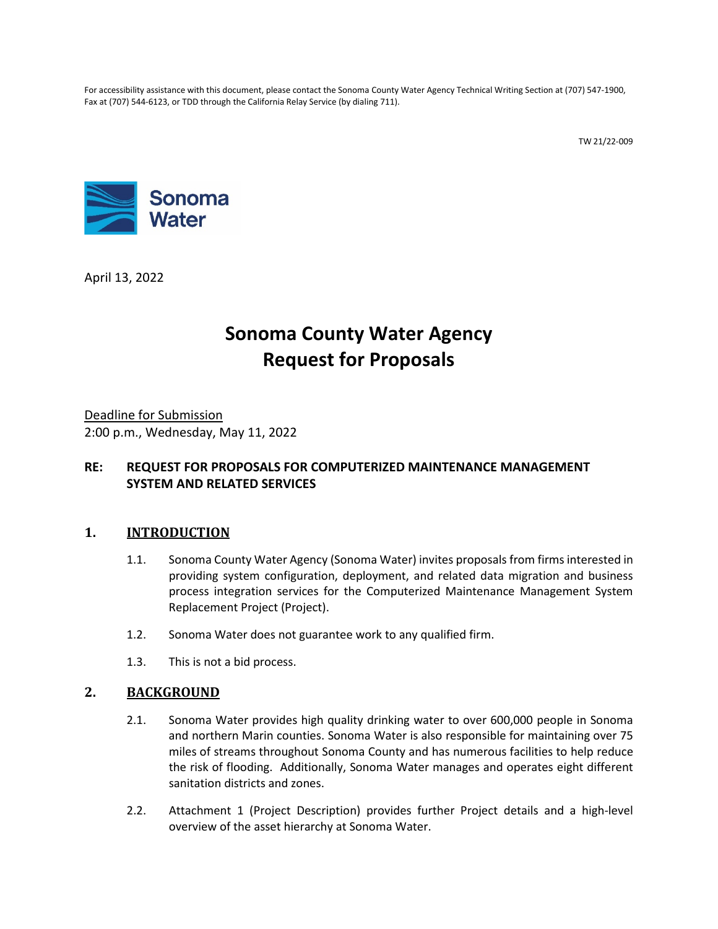For accessibility assistance with this document, please contact the Sonoma County Water Agency Technical Writing Section at (707) 547-1900, Fax at (707) 544-6123, or TDD through the California Relay Service (by dialing 711).

TW 21/22-009



April 13, 2022

# **Sonoma County Water Agency Request for Proposals**

Deadline for Submission 2:00 p.m., Wednesday, May 11, 2022

# **RE: REQUEST FOR PROPOSALS FOR COMPUTERIZED MAINTENANCE MANAGEMENT SYSTEM AND RELATED SERVICES**

# **1. INTRODUCTION**

- 1.1. Sonoma County Water Agency (Sonoma Water) invites proposals from firms interested in providing system configuration, deployment, and related data migration and business process integration services for the Computerized Maintenance Management System Replacement Project (Project).
- 1.2. Sonoma Water does not guarantee work to any qualified firm.
- 1.3. This is not a bid process.

#### **2. BACKGROUND**

- 2.1. Sonoma Water provides high quality drinking water to over 600,000 people in Sonoma and northern Marin counties. Sonoma Water is also responsible for maintaining over 75 miles of streams throughout Sonoma County and has numerous facilities to help reduce the risk of flooding. Additionally, Sonoma Water manages and operates eight different sanitation districts and zones.
- 2.2. Attachment 1 (Project Description) provides further Project details and a high-level overview of the asset hierarchy at Sonoma Water.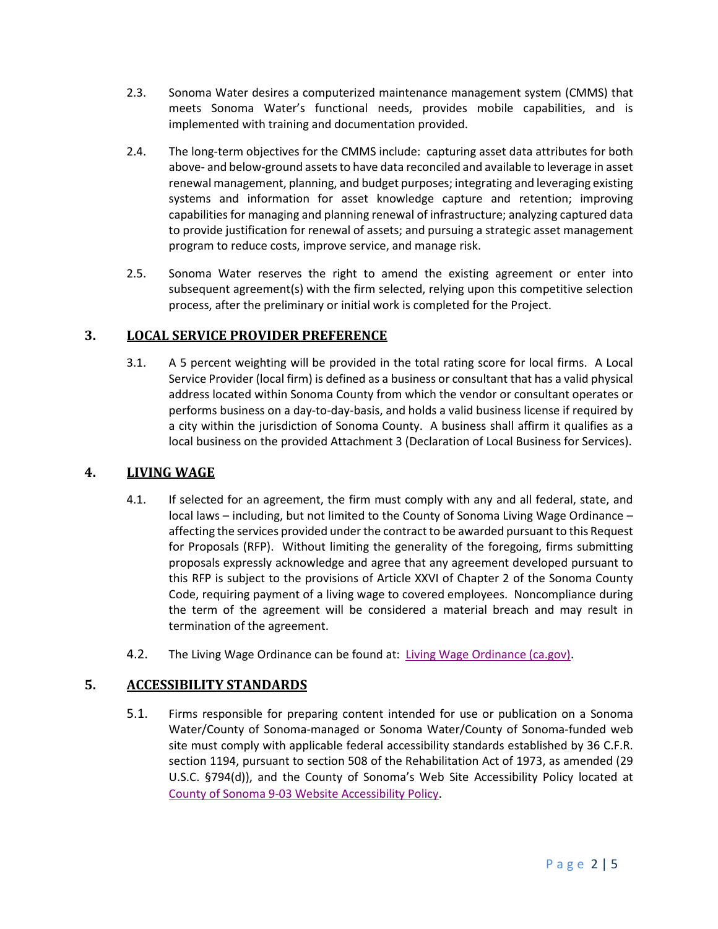- 2.3. Sonoma Water desires a computerized maintenance management system (CMMS) that meets Sonoma Water's functional needs, provides mobile capabilities, and is implemented with training and documentation provided.
- 2.4. The long-term objectives for the CMMS include: capturing asset data attributes for both above- and below-ground assets to have data reconciled and available to leverage in asset renewal management, planning, and budget purposes; integrating and leveraging existing systems and information for asset knowledge capture and retention; improving capabilities for managing and planning renewal of infrastructure; analyzing captured data to provide justification for renewal of assets; and pursuing a strategic asset management program to reduce costs, improve service, and manage risk.
- 2.5. Sonoma Water reserves the right to amend the existing agreement or enter into subsequent agreement(s) with the firm selected, relying upon this competitive selection process, after the preliminary or initial work is completed for the Project.

# **3. LOCAL SERVICE PROVIDER PREFERENCE**

3.1. A 5 percent weighting will be provided in the total rating score for local firms. A Local Service Provider (local firm) is defined as a business or consultant that has a valid physical address located within Sonoma County from which the vendor or consultant operates or performs business on a day-to-day-basis, and holds a valid business license if required by a city within the jurisdiction of Sonoma County. A business shall affirm it qualifies as a local business on the provided Attachment 3 (Declaration of Local Business for Services).

# **4. LIVING WAGE**

- 4.1. If selected for an agreement, the firm must comply with any and all federal, state, and local laws – including, but not limited to the County of Sonoma Living Wage Ordinance – affecting the services provided under the contract to be awarded pursuant to this Request for Proposals (RFP). Without limiting the generality of the foregoing, firms submitting proposals expressly acknowledge and agree that any agreement developed pursuant to this RFP is subject to the provisions of Article XXVI of Chapter 2 of the Sonoma County Code, requiring payment of a living wage to covered employees. Noncompliance during the term of the agreement will be considered a material breach and may result in termination of the agreement.
- 4.2. The Living Wage Ordinance can be found at: [Living Wage Ordinance \(ca.gov\).](https://sonomacounty.ca.gov/administrative-support-and-fiscal-services/general-services/divisions/purchasing/doing-business-with-the-county/living-wage-self-certification-for-suppliers)

# **5. ACCESSIBILITY STANDARDS**

5.1. Firms responsible for preparing content intended for use or publication on a Sonoma Water/County of Sonoma-managed or Sonoma Water/County of Sonoma-funded web site must comply with applicable federal accessibility standards established by 36 C.F.R. section 1194, pursuant to section 508 of the Rehabilitation Act of 1973, as amended (29 U.S.C. §794(d)), and the County of Sonoma's Web Site Accessibility Policy located at [County of Sonoma 9-03 Website Accessibility Policy.](http://sonomacounty.ca.gov/CAO/Administrative-Policies/9-3-Website-Accessibility-Policy/)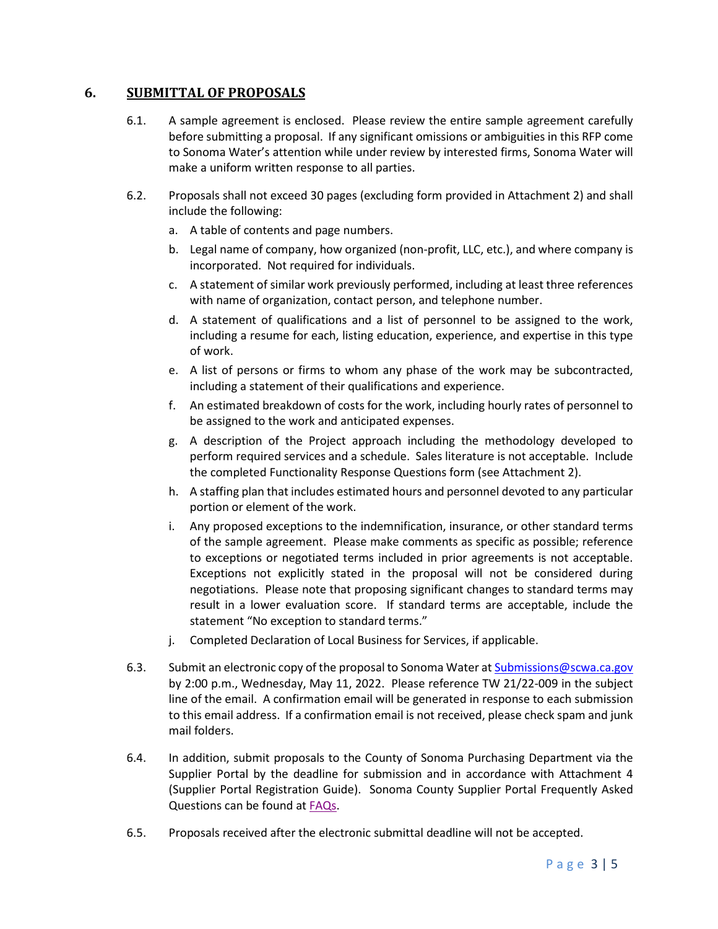## **6. SUBMITTAL OF PROPOSALS**

- 6.1. A sample agreement is enclosed. Please review the entire sample agreement carefully before submitting a proposal. If any significant omissions or ambiguities in this RFP come to Sonoma Water's attention while under review by interested firms, Sonoma Water will make a uniform written response to all parties.
- <span id="page-2-9"></span><span id="page-2-7"></span><span id="page-2-6"></span><span id="page-2-2"></span><span id="page-2-1"></span><span id="page-2-0"></span>6.2. Proposals shall not exceed 30 pages (excluding form provided in Attachment 2) and shall include the following:
	- a. A table of contents and page numbers.
	- b. Legal name of company, how organized (non-profit, LLC, etc.), and where company is incorporated. Not required for individuals.
	- c. A statement of similar work previously performed, including at least three references with name of organization, contact person, and telephone number.
	- d. A statement of qualifications and a list of personnel to be assigned to the work, including a resume for each, listing education, experience, and expertise in this type of work.
	- e. A list of persons or firms to whom any phase of the work may be subcontracted, including a statement of their qualifications and experience.
	- f. An estimated breakdown of costs for the work, including hourly rates of personnel to be assigned to the work and anticipated expenses.
	- g. A description of the Project approach including the methodology developed to perform required services and a schedule. Sales literature is not acceptable. Include the completed Functionality Response Questions form (see Attachment 2).
	- h. A staffing plan that includes estimated hours and personnel devoted to any particular portion or element of the work.
	- i. Any proposed exceptions to the indemnification, insurance, or other standard terms of the sample agreement. Please make comments as specific as possible; reference to exceptions or negotiated terms included in prior agreements is not acceptable. Exceptions not explicitly stated in the proposal will not be considered during negotiations. Please note that proposing significant changes to standard terms may result in a lower evaluation score. If standard terms are acceptable, include the statement "No exception to standard terms."
	- j. Completed Declaration of Local Business for Services, if applicable.
- <span id="page-2-8"></span><span id="page-2-5"></span><span id="page-2-4"></span><span id="page-2-3"></span>6.3. Submit an electronic copy of the proposal to Sonoma Water at [Submissions@scwa.ca.gov](mailto:Submissions@scwa.ca.gov) by 2:00 p.m., Wednesday, May 11, 2022. Please reference TW 21/22-009 in the subject line of the email. A confirmation email will be generated in response to each submission to this email address. If a confirmation email is not received, please check spam and junk mail folders.
- 6.4. In addition, submit proposals to the County of Sonoma Purchasing Department via the Supplier Portal by the deadline for submission and in accordance with Attachment 4 (Supplier Portal Registration Guide). Sonoma County Supplier Portal Frequently Asked Questions can be found at [FAQs.](https://sonomacounty.ca.gov/General-Services/Purchasing/Doing-Business-with-the-County/Frequently-Asked-Questions/)
- 6.5. Proposals received after the electronic submittal deadline will not be accepted.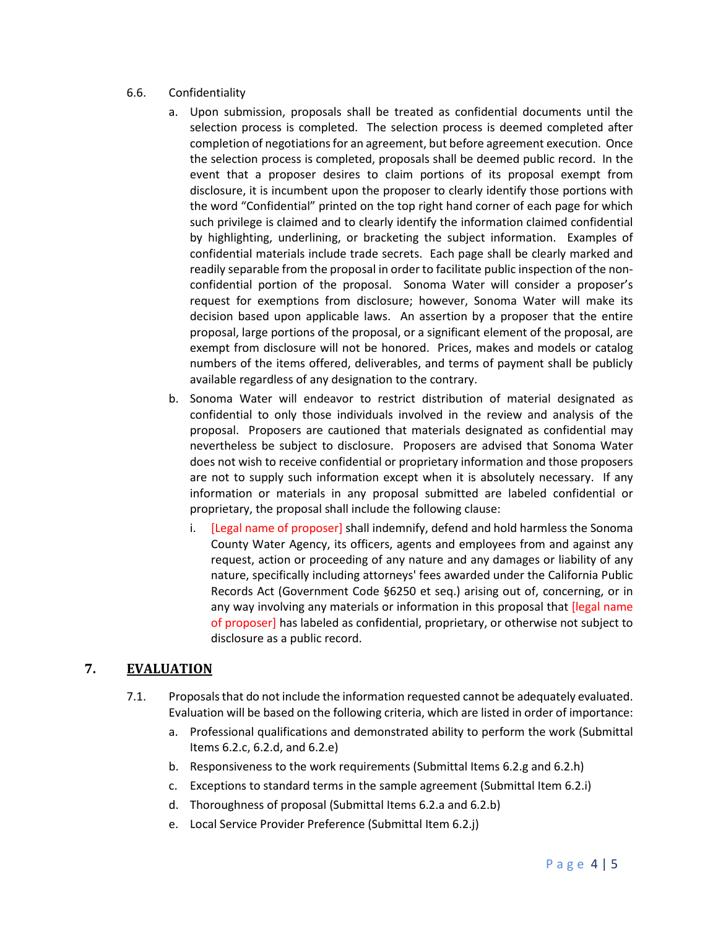#### 6.6. Confidentiality

- a. Upon submission, proposals shall be treated as confidential documents until the selection process is completed. The selection process is deemed completed after completion of negotiations for an agreement, but before agreement execution. Once the selection process is completed, proposals shall be deemed public record. In the event that a proposer desires to claim portions of its proposal exempt from disclosure, it is incumbent upon the proposer to clearly identify those portions with the word "Confidential" printed on the top right hand corner of each page for which such privilege is claimed and to clearly identify the information claimed confidential by highlighting, underlining, or bracketing the subject information. Examples of confidential materials include trade secrets. Each page shall be clearly marked and readily separable from the proposal in order to facilitate public inspection of the nonconfidential portion of the proposal. Sonoma Water will consider a proposer's request for exemptions from disclosure; however, Sonoma Water will make its decision based upon applicable laws. An assertion by a proposer that the entire proposal, large portions of the proposal, or a significant element of the proposal, are exempt from disclosure will not be honored. Prices, makes and models or catalog numbers of the items offered, deliverables, and terms of payment shall be publicly available regardless of any designation to the contrary.
- b. Sonoma Water will endeavor to restrict distribution of material designated as confidential to only those individuals involved in the review and analysis of the proposal. Proposers are cautioned that materials designated as confidential may nevertheless be subject to disclosure. Proposers are advised that Sonoma Water does not wish to receive confidential or proprietary information and those proposers are not to supply such information except when it is absolutely necessary. If any information or materials in any proposal submitted are labeled confidential or proprietary, the proposal shall include the following clause:
	- i. [Legal name of proposer] shall indemnify, defend and hold harmless the Sonoma County Water Agency, its officers, agents and employees from and against any request, action or proceeding of any nature and any damages or liability of any nature, specifically including attorneys' fees awarded under the California Public Records Act (Government Code §6250 et seq.) arising out of, concerning, or in any way involving any materials or information in this proposal that [legal name of proposer] has labeled as confidential, proprietary, or otherwise not subject to disclosure as a public record.

#### **7. EVALUATION**

- 7.1. Proposalsthat do not include the information requested cannot be adequately evaluated. Evaluation will be based on the following criteria, which are listed in order of importance:
	- a. Professional qualifications and demonstrated ability to perform the work (Submittal Item[s 6.2.c,](#page-2-0) [6.2.d,](#page-2-1) and [6.2.e\)](#page-2-2)
	- b. Responsiveness to the work requirements (Submittal Item[s 6.2.g](#page-2-3) an[d 6.2.h\)](#page-2-4)
	- c. Exceptions to standard terms in the sample agreement (Submittal Ite[m 6.2.i\)](#page-2-5)
	- d. Thoroughness of proposal (Submittal Items [6.2.a](#page-2-6) and [6.2.b\)](#page-2-7)
	- e. Local Service Provider Preference (Submittal Item [6.2.j\)](#page-2-8)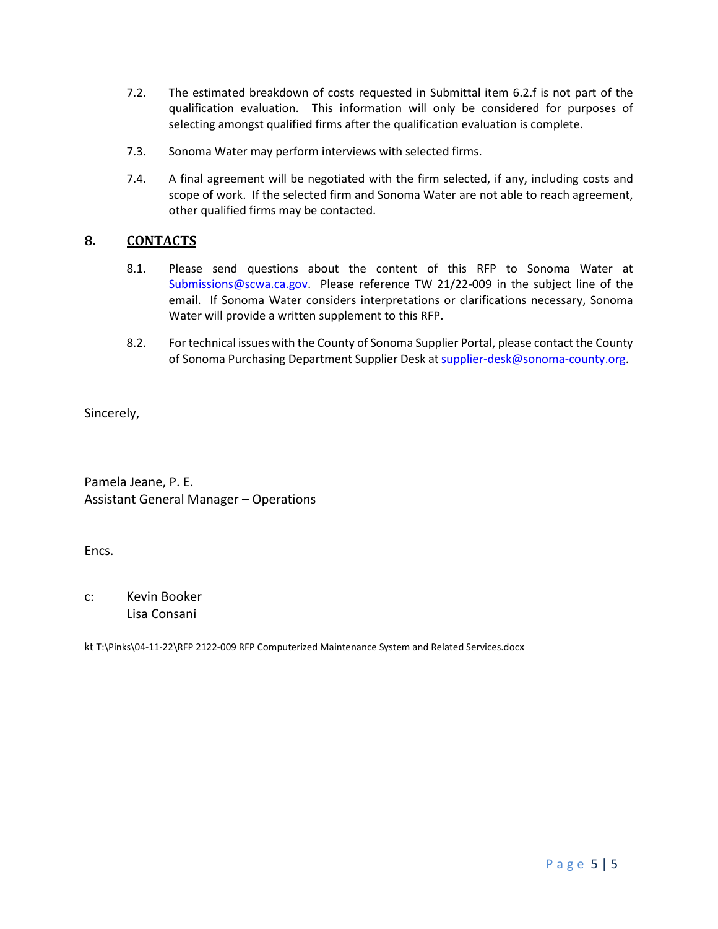- 7.2. The estimated breakdown of costs requested in Submittal item [6.2.f](#page-2-9) is not part of the qualification evaluation. This information will only be considered for purposes of selecting amongst qualified firms after the qualification evaluation is complete.
- 7.3. Sonoma Water may perform interviews with selected firms.
- 7.4. A final agreement will be negotiated with the firm selected, if any, including costs and scope of work. If the selected firm and Sonoma Water are not able to reach agreement, other qualified firms may be contacted.

## **8. CONTACTS**

- 8.1. Please send questions about the content of this RFP to Sonoma Water at [Submissions@scwa.ca.gov.](mailto:Submissions@scwa.ca.gov) Please reference TW 21/22-009 in the subject line of the email. If Sonoma Water considers interpretations or clarifications necessary, Sonoma Water will provide a written supplement to this RFP.
- 8.2. For technical issues with the County of Sonoma Supplier Portal, please contact the County of Sonoma Purchasing Department Supplier Desk at [supplier-desk@sonoma-county.org.](mailto:supplier-desk@sonoma-county.org)

Sincerely,

Pamela Jeane, P. E. Assistant General Manager – Operations

Encs.

c: Kevin Booker Lisa Consani

kt T:\Pinks\04-11-22\RFP 2122-009 RFP Computerized Maintenance System and Related Services.docx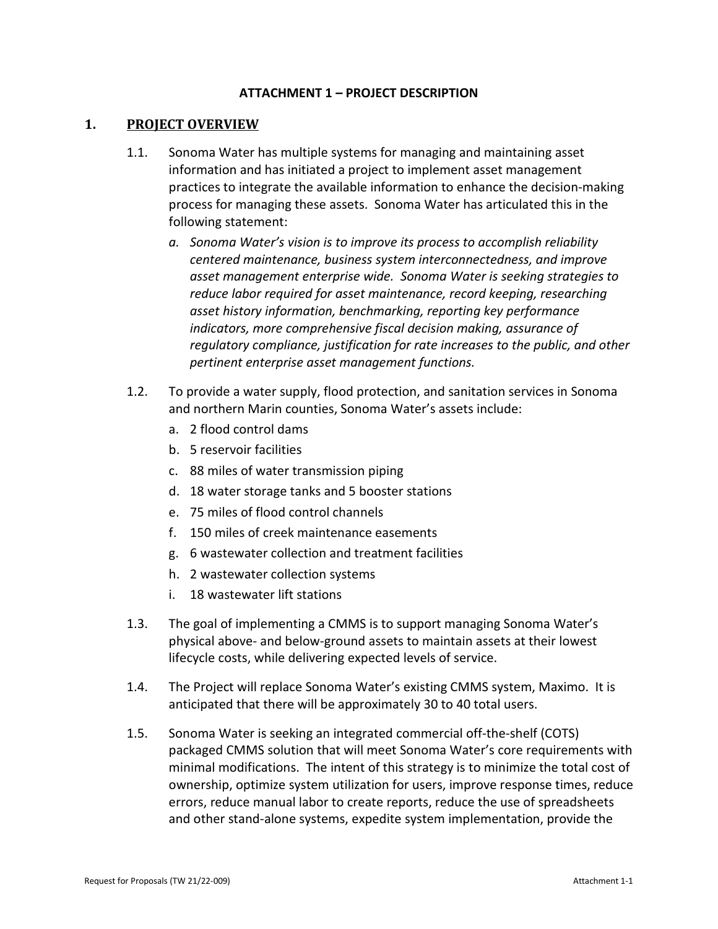#### **ATTACHMENT 1 – PROJECT DESCRIPTION**

#### **1. PROJECT OVERVIEW**

- 1.1. Sonoma Water has multiple systems for managing and maintaining asset information and has initiated a project to implement asset management practices to integrate the available information to enhance the decision-making process for managing these assets. Sonoma Water has articulated this in the following statement:
	- *a. Sonoma Water's vision is to improve its process to accomplish reliability centered maintenance, business system interconnectedness, and improve asset management enterprise wide. Sonoma Water is seeking strategies to reduce labor required for asset maintenance, record keeping, researching asset history information, benchmarking, reporting key performance indicators, more comprehensive fiscal decision making, assurance of regulatory compliance, justification for rate increases to the public, and other pertinent enterprise asset management functions.*
- 1.2. To provide a water supply, flood protection, and sanitation services in Sonoma and northern Marin counties, Sonoma Water's assets include:
	- a. 2 flood control dams
	- b. 5 reservoir facilities
	- c. 88 miles of water transmission piping
	- d. 18 water storage tanks and 5 booster stations
	- e. 75 miles of flood control channels
	- f. 150 miles of creek maintenance easements
	- g. 6 wastewater collection and treatment facilities
	- h. 2 wastewater collection systems
	- i. 18 wastewater lift stations
- 1.3. The goal of implementing a CMMS is to support managing Sonoma Water's physical above- and below-ground assets to maintain assets at their lowest lifecycle costs, while delivering expected levels of service.
- 1.4. The Project will replace Sonoma Water's existing CMMS system, Maximo. It is anticipated that there will be approximately 30 to 40 total users.
- 1.5. Sonoma Water is seeking an integrated commercial off-the-shelf (COTS) packaged CMMS solution that will meet Sonoma Water's core requirements with minimal modifications. The intent of this strategy is to minimize the total cost of ownership, optimize system utilization for users, improve response times, reduce errors, reduce manual labor to create reports, reduce the use of spreadsheets and other stand-alone systems, expedite system implementation, provide the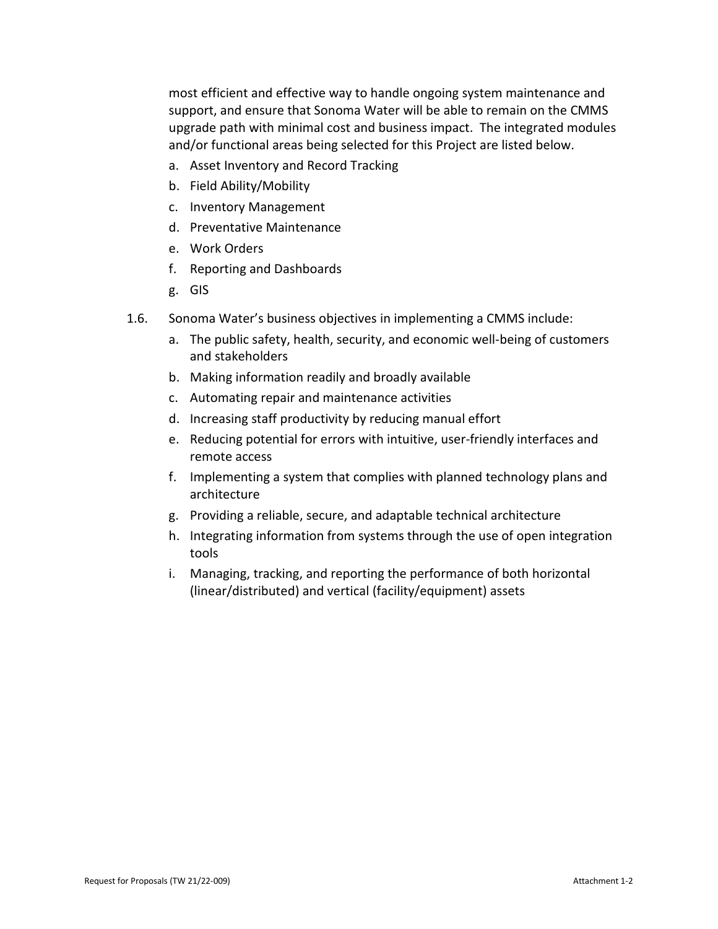most efficient and effective way to handle ongoing system maintenance and support, and ensure that Sonoma Water will be able to remain on the CMMS upgrade path with minimal cost and business impact. The integrated modules and/or functional areas being selected for this Project are listed below.

- a. Asset Inventory and Record Tracking
- b. Field Ability/Mobility
- c. Inventory Management
- d. Preventative Maintenance
- e. Work Orders
- f. Reporting and Dashboards
- g. GIS
- 1.6. Sonoma Water's business objectives in implementing a CMMS include:
	- a. The public safety, health, security, and economic well-being of customers and stakeholders
	- b. Making information readily and broadly available
	- c. Automating repair and maintenance activities
	- d. Increasing staff productivity by reducing manual effort
	- e. Reducing potential for errors with intuitive, user-friendly interfaces and remote access
	- f. Implementing a system that complies with planned technology plans and architecture
	- g. Providing a reliable, secure, and adaptable technical architecture
	- h. Integrating information from systems through the use of open integration tools
	- i. Managing, tracking, and reporting the performance of both horizontal (linear/distributed) and vertical (facility/equipment) assets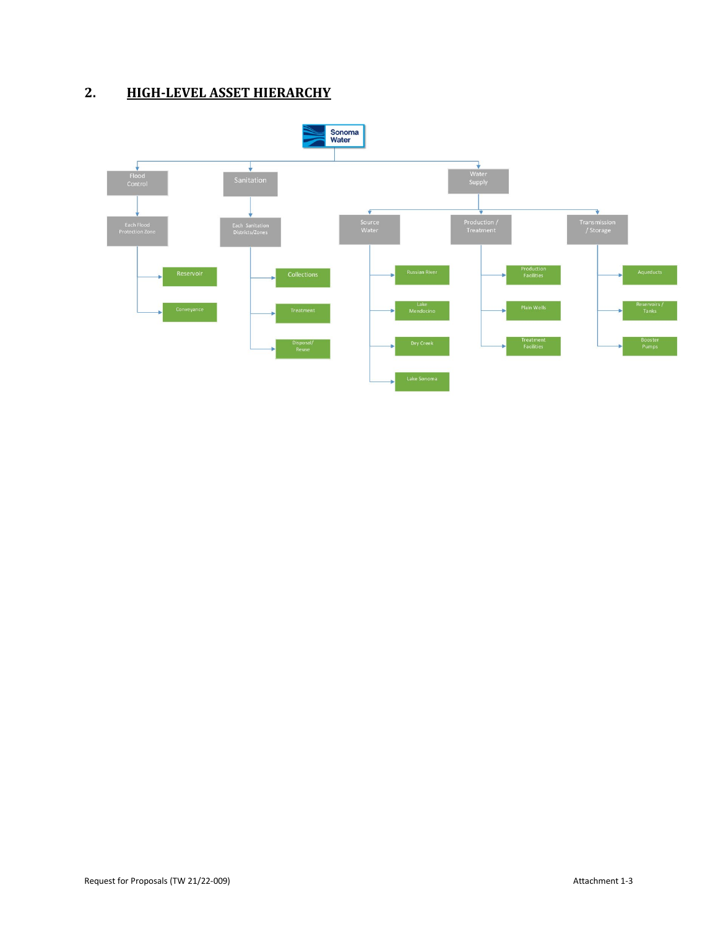# **2. HIGH-LEVEL ASSET HIERARCHY**

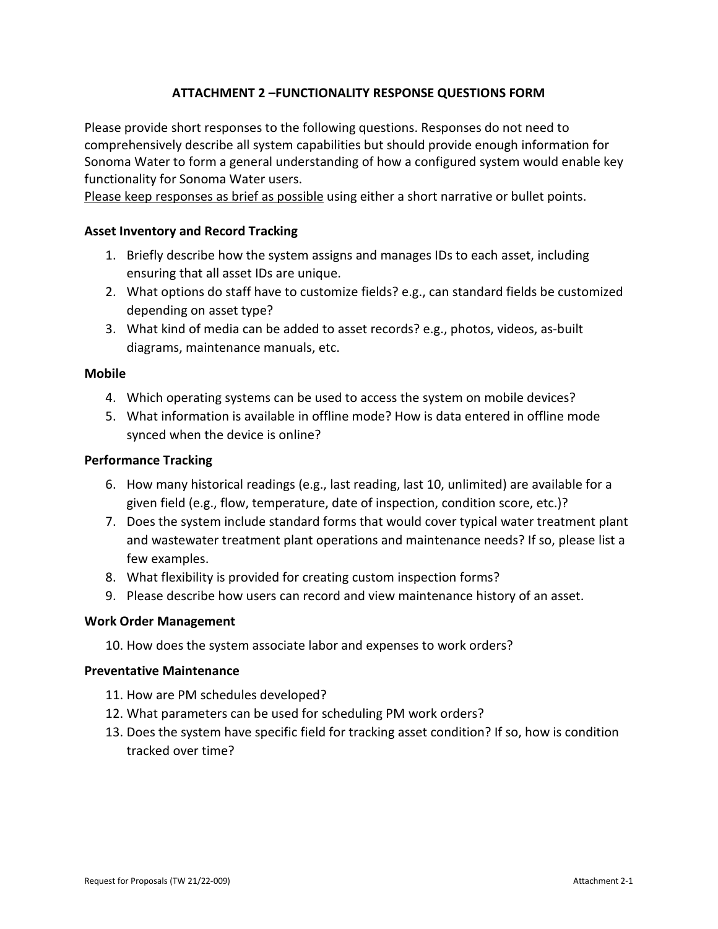## **ATTACHMENT 2 –FUNCTIONALITY RESPONSE QUESTIONS FORM**

Please provide short responses to the following questions. Responses do not need to comprehensively describe all system capabilities but should provide enough information for Sonoma Water to form a general understanding of how a configured system would enable key functionality for Sonoma Water users.

Please keep responses as brief as possible using either a short narrative or bullet points.

#### **Asset Inventory and Record Tracking**

- 1. Briefly describe how the system assigns and manages IDs to each asset, including ensuring that all asset IDs are unique.
- 2. What options do staff have to customize fields? e.g., can standard fields be customized depending on asset type?
- 3. What kind of media can be added to asset records? e.g., photos, videos, as-built diagrams, maintenance manuals, etc.

#### **Mobile**

- 4. Which operating systems can be used to access the system on mobile devices?
- 5. What information is available in offline mode? How is data entered in offline mode synced when the device is online?

#### **Performance Tracking**

- 6. How many historical readings (e.g., last reading, last 10, unlimited) are available for a given field (e.g., flow, temperature, date of inspection, condition score, etc.)?
- 7. Does the system include standard forms that would cover typical water treatment plant and wastewater treatment plant operations and maintenance needs? If so, please list a few examples.
- 8. What flexibility is provided for creating custom inspection forms?
- 9. Please describe how users can record and view maintenance history of an asset.

#### **Work Order Management**

10. How does the system associate labor and expenses to work orders?

#### **Preventative Maintenance**

- 11. How are PM schedules developed?
- 12. What parameters can be used for scheduling PM work orders?
- 13. Does the system have specific field for tracking asset condition? If so, how is condition tracked over time?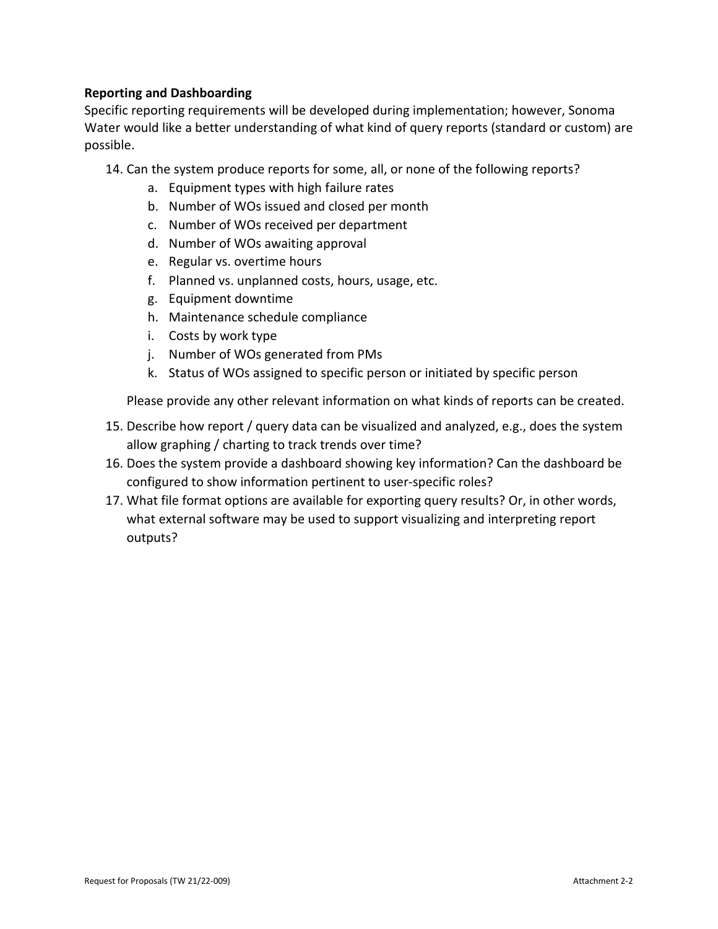#### **Reporting and Dashboarding**

Specific reporting requirements will be developed during implementation; however, Sonoma Water would like a better understanding of what kind of query reports (standard or custom) are possible.

14. Can the system produce reports for some, all, or none of the following reports?

- a. Equipment types with high failure rates
- b. Number of WOs issued and closed per month
- c. Number of WOs received per department
- d. Number of WOs awaiting approval
- e. Regular vs. overtime hours
- f. Planned vs. unplanned costs, hours, usage, etc.
- g. Equipment downtime
- h. Maintenance schedule compliance
- i. Costs by work type
- j. Number of WOs generated from PMs
- k. Status of WOs assigned to specific person or initiated by specific person

Please provide any other relevant information on what kinds of reports can be created.

- 15. Describe how report / query data can be visualized and analyzed, e.g., does the system allow graphing / charting to track trends over time?
- 16. Does the system provide a dashboard showing key information? Can the dashboard be configured to show information pertinent to user-specific roles?
- 17. What file format options are available for exporting query results? Or, in other words, what external software may be used to support visualizing and interpreting report outputs?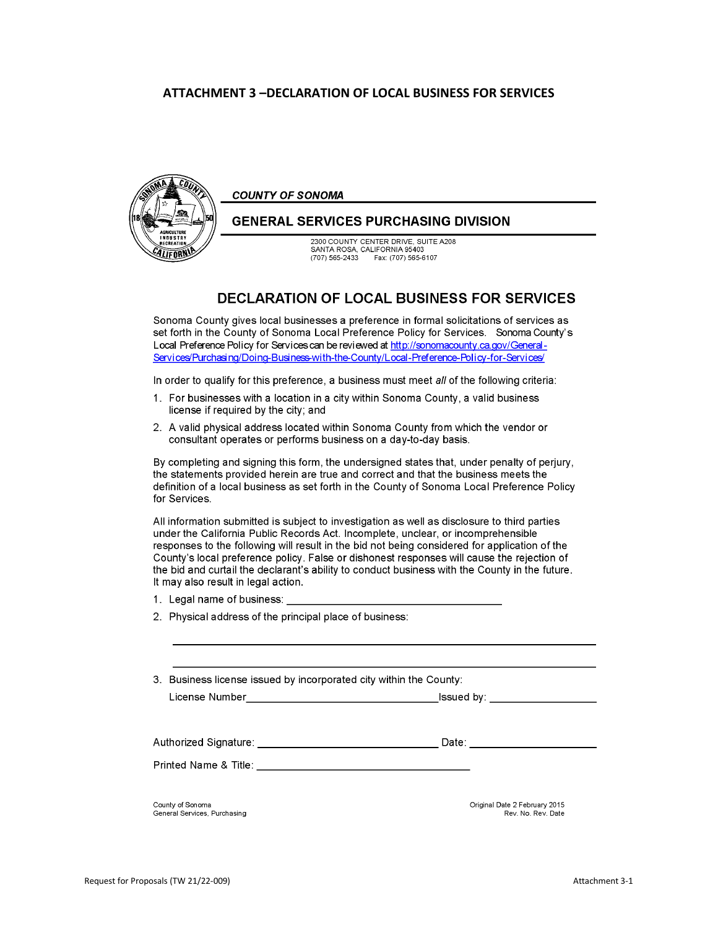#### **ATTACHMENT 3 –DECLARATION OF LOCAL BUSINESS FOR SERVICES**



**COUNTY OF SONOMA** 

#### **GENERAL SERVICES PURCHASING DIVISION**

2300 COUNTY CENTER DRIVE, SUITE A208 SANTA ROSA, CALIFORNIA 95403  $(707) 565 - 2433$ Fax: (707) 565-6107

#### **DECLARATION OF LOCAL BUSINESS FOR SERVICES**

Sonoma County gives local businesses a preference in formal solicitations of services as set forth in the County of Sonoma Local Preference Policy for Services. Sonoma County's Local Preference Policy for Services can be reviewed at http://sonomacounty.ca.gov/General-Services/Purchasing/Doing-Business-with-the-County/Local-Preference-Policy-for-Services/

In order to qualify for this preference, a business must meet all of the following criteria:

- 1. For businesses with a location in a city within Sonoma County, a valid business license if required by the city; and
- 2. A valid physical address located within Sonoma County from which the vendor or consultant operates or performs business on a day-to-day basis.

By completing and signing this form, the undersigned states that, under penalty of perjury, the statements provided herein are true and correct and that the business meets the definition of a local business as set forth in the County of Sonoma Local Preference Policy for Services.

All information submitted is subject to investigation as well as disclosure to third parties under the California Public Records Act. Incomplete, unclear, or incomprehensible responses to the following will result in the bid not being considered for application of the County's local preference policy. False or dishonest responses will cause the rejection of the bid and curtail the declarant's ability to conduct business with the County in the future. It may also result in legal action.

- 1. Legal name of business:
- 2. Physical address of the principal place of business:

3. Business license issued by incorporated city within the County:

| License Number |
|----------------|
|----------------|

Issued by: \_\_

| Authorized Signature: | Date: |
|-----------------------|-------|
| Printed Name & Title: |       |
|                       |       |
|                       |       |

County of Sonoma General Services, Purchasing Original Date 2 February 2015 Rev. No. Rev. Date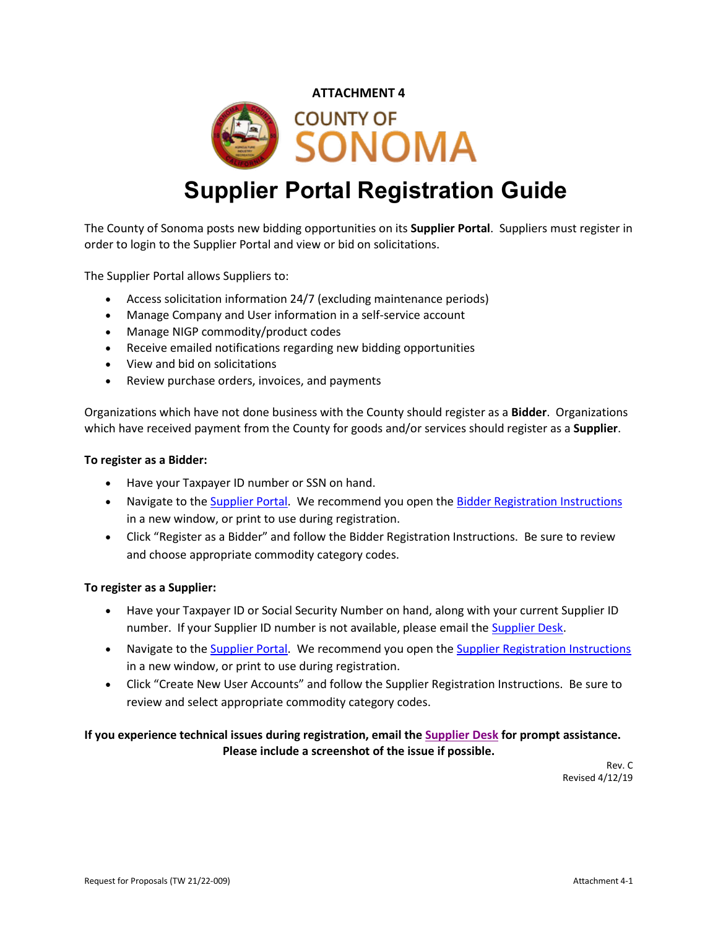#### **ATTACHMENT 4**



# **Supplier Portal Registration Guide**

The County of Sonoma posts new bidding opportunities on its **Supplier Portal**. Suppliers must register in order to login to the Supplier Portal and view or bid on solicitations.

The Supplier Portal allows Suppliers to:

- Access solicitation information 24/7 (excluding maintenance periods)
- Manage Company and User information in a self-service account
- Manage NIGP commodity/product codes
- Receive emailed notifications regarding new bidding opportunities
- View and bid on solicitations
- Review purchase orders, invoices, and payments

Organizations which have not done business with the County should register as a **Bidder**. Organizations which have received payment from the County for goods and/or services should register as a **Supplier**.

#### **To register as a Bidder:**

- Have your Taxpayer ID number or SSN on hand.
- Navigate to the [Supplier Portal.](https://esupplier.sonomacounty.ca.gov/) We recommend you open the [Bidder Registration](https://esupplier.sonomacounty.ca.gov/SonomaPortalDocs/Training/BidderRegistrationInstructionsADA.pdf) [Instructions](https://esupplier.sonomacounty.ca.gov/SonomaPortalDocs/Training/BidderRegistrationInstructionsADA.pdf) in a new window, or print to use during registration.
- Click "Register as a Bidder" and follow the Bidder Registration Instructions. Be sure to review and choose appropriate commodity category codes.

#### **To register as a Supplier:**

- Have your Taxpayer ID or Social Security Number on hand, along with your current Supplier ID number. If your Supplier ID number is not available, please email the [Supplier Desk.](mailto:supplier-desk@sonoma-county.org)
- Navigate to the [Supplier Portal.](https://esupplier.sonomacounty.ca.gov/) We recommend you open the [Supplier Registration](https://esupplier.sonomacounty.ca.gov/SonomaPortalDocs/Training/SupplierRegistrationInstructionsADA.pdf) [Instructions](https://esupplier.sonomacounty.ca.gov/SonomaPortalDocs/Training/SupplierRegistrationInstructionsADA.pdf) in a new window, or print to use during registration.
- Click "Create New User Accounts" and follow the Supplier Registration Instructions. Be sure to review and select appropriate commodity category codes.

#### **If you experience technical issues during registration, email th[e Supplier Desk](mailto:supplier-desk@sonoma-county.org) for prompt assistance. Please include a screenshot of the issue if possible.**

Rev. C Revised 4/12/19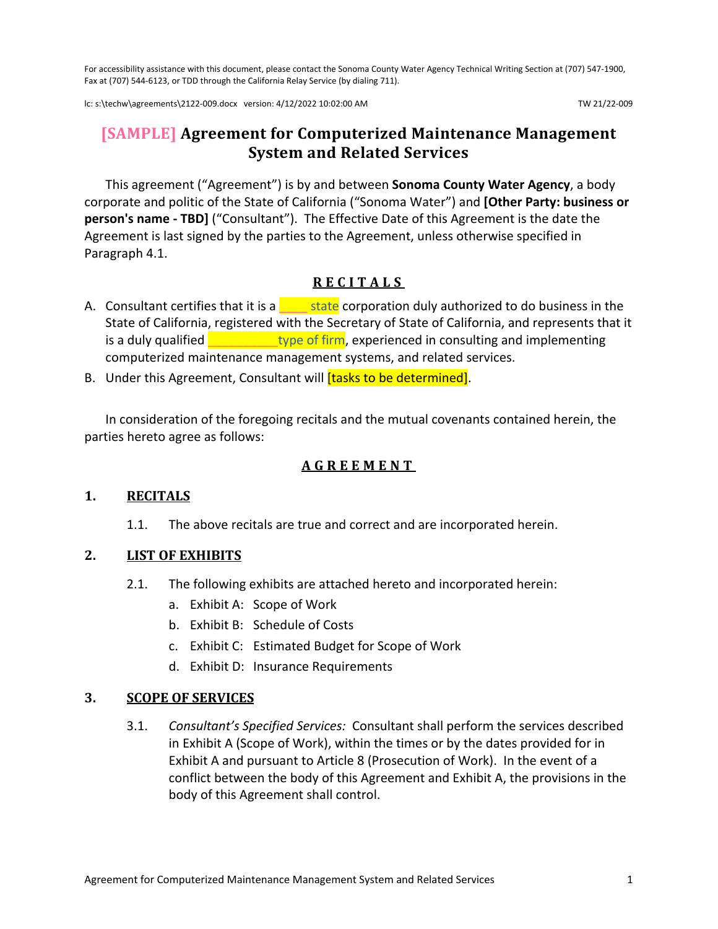For accessibility assistance with this document, please contact the Sonoma County Water Agency Technical Writing Section at (707) 547-1900, Fax at (707) 544-6123, or TDD through the California Relay Service (by dialing 711).

lc: s:\techw\agreements\2122-009.docx version: 4/12/2022 10:02:00 AM TW 21/22-009

# **[SAMPLE] Agreement for Computerized Maintenance Management System and Related Services**

This agreement ("Agreement") is by and between **Sonoma County Water Agency**, a body corporate and politic of the State of California ("Sonoma Water") and **[Other Party: business or person's name - TBD]** ("Consultant"). The Effective Date of this Agreement is the date the Agreement is last signed by the parties to the Agreement, unless otherwise specified in Paragraph [4.1.](#page-14-0)

# **RECITALS**

- A. Consultant certifies that it is a  $\frac{1}{\sqrt{1-\frac{1}{n}}}$  state corporation duly authorized to do business in the State of California, registered with the Secretary of State of California, and represents that it is a duly qualified **the state of firm**, experienced in consulting and implementing computerized maintenance management systems, and related services.
- B. Under this Agreement, Consultant will *[tasks to be determined]*.

In consideration of the foregoing recitals and the mutual covenants contained herein, the parties hereto agree as follows:

# **AGREEMENT**

#### **1. RECITALS**

1.1. The above recitals are true and correct and are incorporated herein.

# **2. LIST OF EXHIBITS**

- 2.1. The following exhibits are attached hereto and incorporated herein:
	- a. Exhibit A: Scope of Work
	- b. Exhibit B: Schedule of Costs
	- c. Exhibit C: Estimated Budget for Scope of Work
	- d. Exhibit D: Insurance Requirements

#### **3. SCOPE OF SERVICES**

3.1. *Consultant's Specified Services:* Consultant shall perform the services described in Exhibit A (Scope of Work), within the times or by the dates provided for in Exhibit A and pursuant to Article [8](#page-16-0) [\(Prosecution of Work\)](#page-16-0). In the event of a conflict between the body of this Agreement and Exhibit A, the provisions in the body of this Agreement shall control.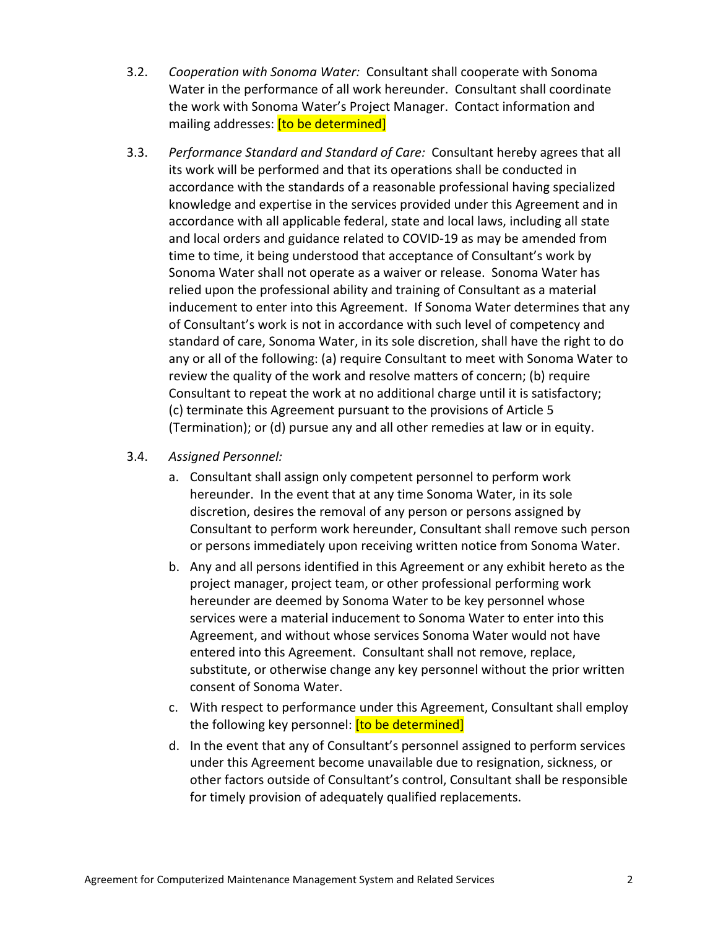- <span id="page-13-0"></span>3.2. *Cooperation with Sonoma Water:* Consultant shall cooperate with Sonoma Water in the performance of all work hereunder. Consultant shall coordinate the work with Sonoma Water's Project Manager. Contact information and mailing addresses: [to be determined]
- 3.3. *Performance Standard and Standard of Care:* Consultant hereby agrees that all its work will be performed and that its operations shall be conducted in accordance with the standards of a reasonable professional having specialized knowledge and expertise in the services provided under this Agreement and in accordance with all applicable federal, state and local laws, including all state and local orders and guidance related to COVID-19 as may be amended from time to time, it being understood that acceptance of Consultant's work by Sonoma Water shall not operate as a waiver or release. Sonoma Water has relied upon the professional ability and training of Consultant as a material inducement to enter into this Agreement. If Sonoma Water determines that any of Consultant's work is not in accordance with such level of competency and standard of care, Sonoma Water, in its sole discretion, shall have the right to do any or all of the following: (a) require Consultant to meet with Sonoma Water to review the quality of the work and resolve matters of concern; (b) require Consultant to repeat the work at no additional charge until it is satisfactory; (c) terminate this Agreement pursuant to the provisions of Article [5](#page-15-0) [\(Termination\)](#page-15-0); or (d) pursue any and all other remedies at law or in equity.
- 3.4. *Assigned Personnel:*
	- a. Consultant shall assign only competent personnel to perform work hereunder. In the event that at any time Sonoma Water, in its sole discretion, desires the removal of any person or persons assigned by Consultant to perform work hereunder, Consultant shall remove such person or persons immediately upon receiving written notice from Sonoma Water.
	- b. Any and all persons identified in this Agreement or any exhibit hereto as the project manager, project team, or other professional performing work hereunder are deemed by Sonoma Water to be key personnel whose services were a material inducement to Sonoma Water to enter into this Agreement, and without whose services Sonoma Water would not have entered into this Agreement. Consultant shall not remove, replace, substitute, or otherwise change any key personnel without the prior written consent of Sonoma Water.
	- c. With respect to performance under this Agreement, Consultant shall employ the following key personnel: [to be determined]
	- d. In the event that any of Consultant's personnel assigned to perform services under this Agreement become unavailable due to resignation, sickness, or other factors outside of Consultant's control, Consultant shall be responsible for timely provision of adequately qualified replacements.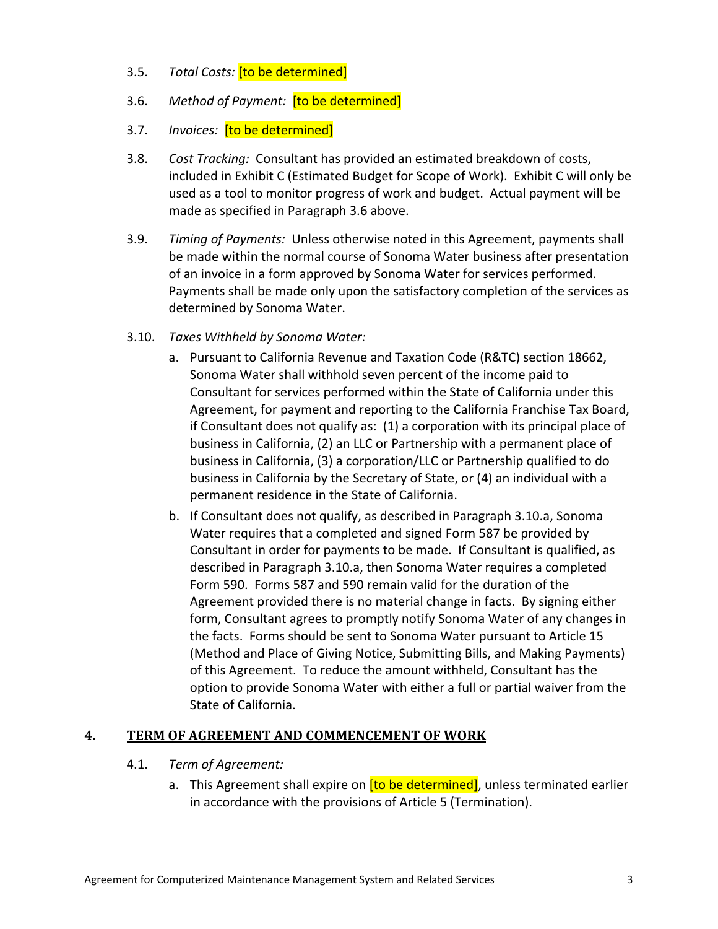- 3.5. *Total Costs:* [to be determined]
- <span id="page-14-1"></span>3.6. *Method of Payment:* [to be determined]
- <span id="page-14-3"></span>3.7. *Invoices:* [to be determined]
- 3.8. *Cost Tracking:* Consultant has provided an estimated breakdown of costs, included in Exhibit C (Estimated Budget for Scope of Work). Exhibit C will only be used as a tool to monitor progress of work and budget. Actual payment will be made as specified in Paragraph [3.6](#page-14-1) above.
- 3.9. *Timing of Payments:* Unless otherwise noted in this Agreement, payments shall be made within the normal course of Sonoma Water business after presentation of an invoice in a form approved by Sonoma Water for services performed. Payments shall be made only upon the satisfactory completion of the services as determined by Sonoma Water.
- <span id="page-14-2"></span>3.10. *Taxes Withheld by Sonoma Water:*
	- a. Pursuant to California Revenue and Taxation Code (R&TC) section 18662, Sonoma Water shall withhold seven percent of the income paid to Consultant for services performed within the State of California under this Agreement, for payment and reporting to the California Franchise Tax Board, if Consultant does not qualify as: (1) a corporation with its principal place of business in California, (2) an LLC or Partnership with a permanent place of business in California, (3) a corporation/LLC or Partnership qualified to do business in California by the Secretary of State, or (4) an individual with a permanent residence in the State of California.
	- b. If Consultant does not qualify, as described in Paragraph [3.10.a,](#page-14-2) Sonoma Water requires that a completed and signed Form 587 be provided by Consultant in order for payments to be made. If Consultant is qualified, as described in Paragraph [3.10.a,](#page-14-2) then Sonoma Water requires a completed Form 590. Forms 587 and 590 remain valid for the duration of the Agreement provided there is no material change in facts. By signing either form, Consultant agrees to promptly notify Sonoma Water of any changes in the facts. Forms should be sent to Sonoma Water pursuant to Articl[e 15](#page-22-0) [\(Method and Place of Giving Notice, Submitting Bills, and Making Payments\)](#page-22-0) of this Agreement. To reduce the amount withheld, Consultant has the option to provide Sonoma Water with either a full or partial waiver from the State of California.

#### <span id="page-14-0"></span>**4. TERM OF AGREEMENT AND COMMENCEMENT OF WORK**

#### 4.1. *Term of Agreement:*

a. This Agreement shall expire on **[to be determined]**, unless terminated earlier in accordance with the provisions of Article [5](#page-15-0) [\(Termination\)](#page-15-0).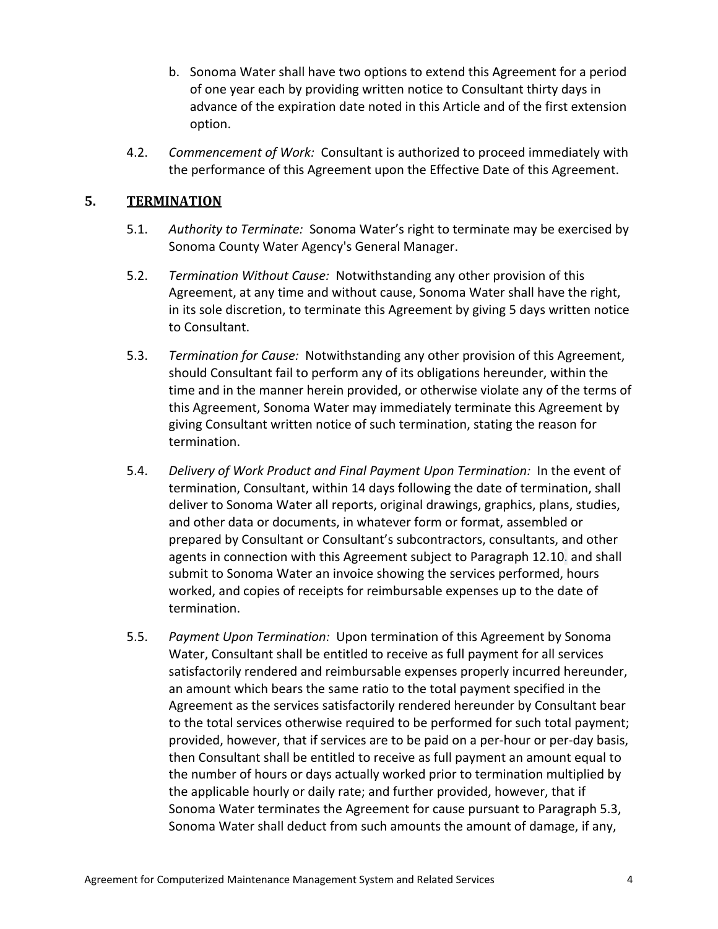- b. Sonoma Water shall have two options to extend this Agreement for a period of one year each by providing written notice to Consultant thirty days in advance of the expiration date noted in this Article and of the first extension option.
- 4.2. *Commencement of Work:* Consultant is authorized to proceed immediately with the performance of this Agreement upon the Effective Date of this Agreement.

# <span id="page-15-0"></span>**5. TERMINATION**

- 5.1. *Authority to Terminate:* Sonoma Water's right to terminate may be exercised by Sonoma County Water Agency's General Manager.
- 5.2. *Termination Without Cause:* Notwithstanding any other provision of this Agreement, at any time and without cause, Sonoma Water shall have the right, in its sole discretion, to terminate this Agreement by giving 5 days written notice to Consultant.
- <span id="page-15-1"></span>5.3. *Termination for Cause:* Notwithstanding any other provision of this Agreement, should Consultant fail to perform any of its obligations hereunder, within the time and in the manner herein provided, or otherwise violate any of the terms of this Agreement, Sonoma Water may immediately terminate this Agreement by giving Consultant written notice of such termination, stating the reason for termination.
- 5.4. *Delivery of Work Product and Final Payment Upon Termination:* In the event of termination, Consultant, within 14 days following the date of termination, shall deliver to Sonoma Water all reports, original drawings, graphics, plans, studies, and other data or documents, in whatever form or format, assembled or prepared by Consultant or Consultant's subcontractors, consultants, and other agents in connection with this Agreement subject to Paragraph [12.10.](#page-21-0) and shall submit to Sonoma Water an invoice showing the services performed, hours worked, and copies of receipts for reimbursable expenses up to the date of termination.
- 5.5. *Payment Upon Termination:* Upon termination of this Agreement by Sonoma Water, Consultant shall be entitled to receive as full payment for all services satisfactorily rendered and reimbursable expenses properly incurred hereunder, an amount which bears the same ratio to the total payment specified in the Agreement as the services satisfactorily rendered hereunder by Consultant bear to the total services otherwise required to be performed for such total payment; provided, however, that if services are to be paid on a per-hour or per-day basis, then Consultant shall be entitled to receive as full payment an amount equal to the number of hours or days actually worked prior to termination multiplied by the applicable hourly or daily rate; and further provided, however, that if Sonoma Water terminates the Agreement for cause pursuant to Paragraph [5.3,](#page-15-1) Sonoma Water shall deduct from such amounts the amount of damage, if any,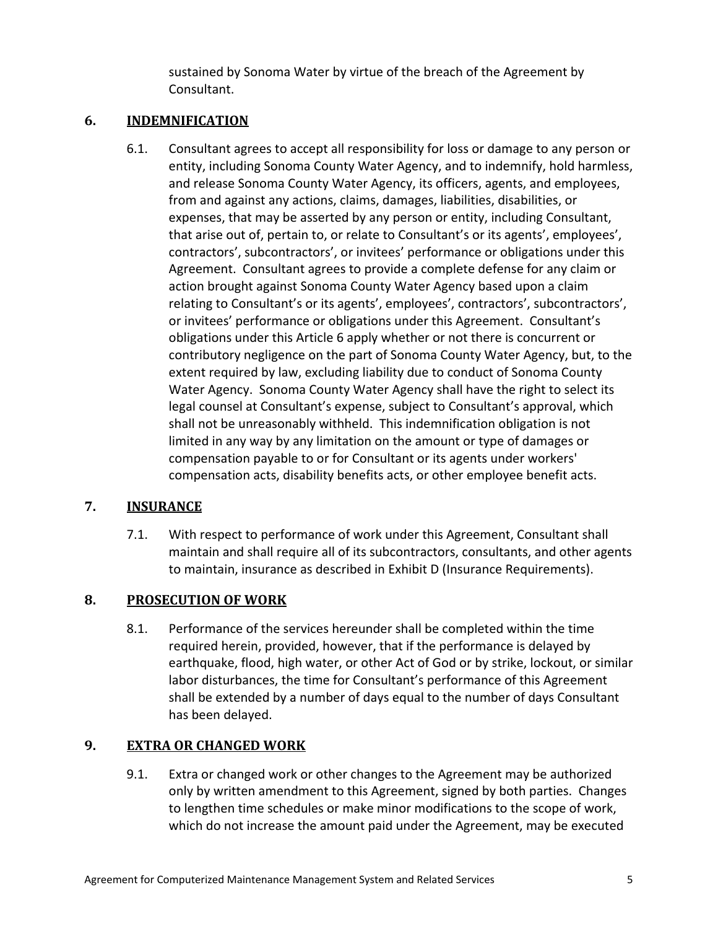sustained by Sonoma Water by virtue of the breach of the Agreement by Consultant.

# <span id="page-16-1"></span>**6. INDEMNIFICATION**

6.1. Consultant agrees to accept all responsibility for loss or damage to any person or entity, including Sonoma County Water Agency, and to indemnify, hold harmless, and release Sonoma County Water Agency, its officers, agents, and employees, from and against any actions, claims, damages, liabilities, disabilities, or expenses, that may be asserted by any person or entity, including Consultant, that arise out of, pertain to, or relate to Consultant's or its agents', employees', contractors', subcontractors', or invitees' performance or obligations under this Agreement. Consultant agrees to provide a complete defense for any claim or action brought against Sonoma County Water Agency based upon a claim relating to Consultant's or its agents', employees', contractors', subcontractors', or invitees' performance or obligations under this Agreement. Consultant's obligations under this Article [6](#page-16-1) apply whether or not there is concurrent or contributory negligence on the part of Sonoma County Water Agency, but, to the extent required by law, excluding liability due to conduct of Sonoma County Water Agency. Sonoma County Water Agency shall have the right to select its legal counsel at Consultant's expense, subject to Consultant's approval, which shall not be unreasonably withheld. This indemnification obligation is not limited in any way by any limitation on the amount or type of damages or compensation payable to or for Consultant or its agents under workers' compensation acts, disability benefits acts, or other employee benefit acts.

# **7. INSURANCE**

7.1. With respect to performance of work under this Agreement, Consultant shall maintain and shall require all of its subcontractors, consultants, and other agents to maintain, insurance as described in Exhibit D (Insurance Requirements).

# <span id="page-16-0"></span>**8. PROSECUTION OF WORK**

8.1. Performance of the services hereunder shall be completed within the time required herein, provided, however, that if the performance is delayed by earthquake, flood, high water, or other Act of God or by strike, lockout, or similar labor disturbances, the time for Consultant's performance of this Agreement shall be extended by a number of days equal to the number of days Consultant has been delayed.

# **9. EXTRA OR CHANGED WORK**

9.1. Extra or changed work or other changes to the Agreement may be authorized only by written amendment to this Agreement, signed by both parties. Changes to lengthen time schedules or make minor modifications to the scope of work, which do not increase the amount paid under the Agreement, may be executed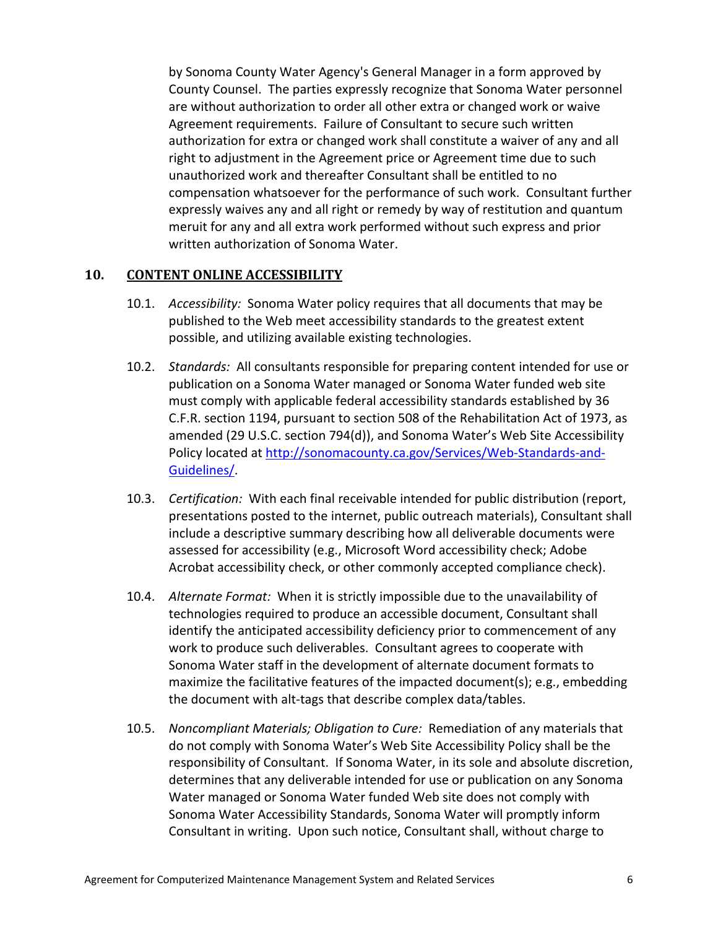by Sonoma County Water Agency's General Manager in a form approved by County Counsel. The parties expressly recognize that Sonoma Water personnel are without authorization to order all other extra or changed work or waive Agreement requirements. Failure of Consultant to secure such written authorization for extra or changed work shall constitute a waiver of any and all right to adjustment in the Agreement price or Agreement time due to such unauthorized work and thereafter Consultant shall be entitled to no compensation whatsoever for the performance of such work. Consultant further expressly waives any and all right or remedy by way of restitution and quantum meruit for any and all extra work performed without such express and prior written authorization of Sonoma Water.

#### <span id="page-17-0"></span>**10. CONTENT ONLINE ACCESSIBILITY**

- 10.1. *Accessibility:* Sonoma Water policy requires that all documents that may be published to the Web meet accessibility standards to the greatest extent possible, and utilizing available existing technologies.
- 10.2. *Standards:* All consultants responsible for preparing content intended for use or publication on a Sonoma Water managed or Sonoma Water funded web site must comply with applicable federal accessibility standards established by 36 C.F.R. section 1194, pursuant to section 508 of the Rehabilitation Act of 1973, as amended (29 U.S.C. section 794(d)), and Sonoma Water's Web Site Accessibility Policy located at [http://sonomacounty.ca.gov/Services/Web-Standards-and-](http://sonomacounty.ca.gov/Services/Web-Standards-and-Guidelines/)[Guidelines/.](http://sonomacounty.ca.gov/Services/Web-Standards-and-Guidelines/)
- 10.3. *Certification:* With each final receivable intended for public distribution (report, presentations posted to the internet, public outreach materials), Consultant shall include a descriptive summary describing how all deliverable documents were assessed for accessibility (e.g., Microsoft Word accessibility check; Adobe Acrobat accessibility check, or other commonly accepted compliance check).
- 10.4. *Alternate Format:* When it is strictly impossible due to the unavailability of technologies required to produce an accessible document, Consultant shall identify the anticipated accessibility deficiency prior to commencement of any work to produce such deliverables. Consultant agrees to cooperate with Sonoma Water staff in the development of alternate document formats to maximize the facilitative features of the impacted document(s); e.g., embedding the document with alt-tags that describe complex data/tables.
- 10.5. *Noncompliant Materials; Obligation to Cure:* Remediation of any materials that do not comply with Sonoma Water's Web Site Accessibility Policy shall be the responsibility of Consultant. If Sonoma Water, in its sole and absolute discretion, determines that any deliverable intended for use or publication on any Sonoma Water managed or Sonoma Water funded Web site does not comply with Sonoma Water Accessibility Standards, Sonoma Water will promptly inform Consultant in writing. Upon such notice, Consultant shall, without charge to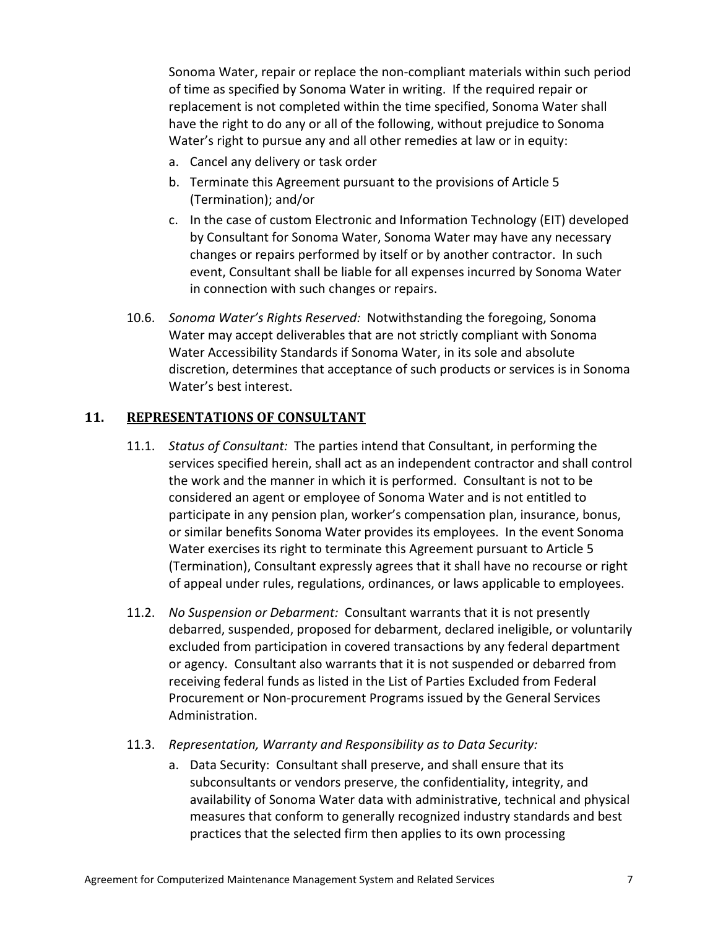Sonoma Water, repair or replace the non-compliant materials within such period of time as specified by Sonoma Water in writing. If the required repair or replacement is not completed within the time specified, Sonoma Water shall have the right to do any or all of the following, without prejudice to Sonoma Water's right to pursue any and all other remedies at law or in equity:

- a. Cancel any delivery or task order
- b. Terminate this Agreement pursuant to the provisions of Article [5](#page-15-0) [\(Termination\)](#page-15-0); and/or
- c. In the case of custom Electronic and Information Technology (EIT) developed by Consultant for Sonoma Water, Sonoma Water may have any necessary changes or repairs performed by itself or by another contractor. In such event, Consultant shall be liable for all expenses incurred by Sonoma Water in connection with such changes or repairs.
- 10.6. *Sonoma Water's Rights Reserved:* Notwithstanding the foregoing, Sonoma Water may accept deliverables that are not strictly compliant with Sonoma Water Accessibility Standards if Sonoma Water, in its sole and absolute discretion, determines that acceptance of such products or services is in Sonoma Water's best interest.

# **11. REPRESENTATIONS OF CONSULTANT**

- 11.1. *Status of Consultant:* The parties intend that Consultant, in performing the services specified herein, shall act as an independent contractor and shall control the work and the manner in which it is performed. Consultant is not to be considered an agent or employee of Sonoma Water and is not entitled to participate in any pension plan, worker's compensation plan, insurance, bonus, or similar benefits Sonoma Water provides its employees. In the event Sonoma Water exercises its right to terminate this Agreement pursuant to Article [5](#page-15-0) [\(Termination\)](#page-15-0), Consultant expressly agrees that it shall have no recourse or right of appeal under rules, regulations, ordinances, or laws applicable to employees.
- 11.2. *No Suspension or Debarment:* Consultant warrants that it is not presently debarred, suspended, proposed for debarment, declared ineligible, or voluntarily excluded from participation in covered transactions by any federal department or agency. Consultant also warrants that it is not suspended or debarred from receiving federal funds as listed in the List of Parties Excluded from Federal Procurement or Non-procurement Programs issued by the General Services Administration.
- 11.3. *Representation, Warranty and Responsibility as to Data Security:*
	- a. Data Security: Consultant shall preserve, and shall ensure that its subconsultants or vendors preserve, the confidentiality, integrity, and availability of Sonoma Water data with administrative, technical and physical measures that conform to generally recognized industry standards and best practices that the selected firm then applies to its own processing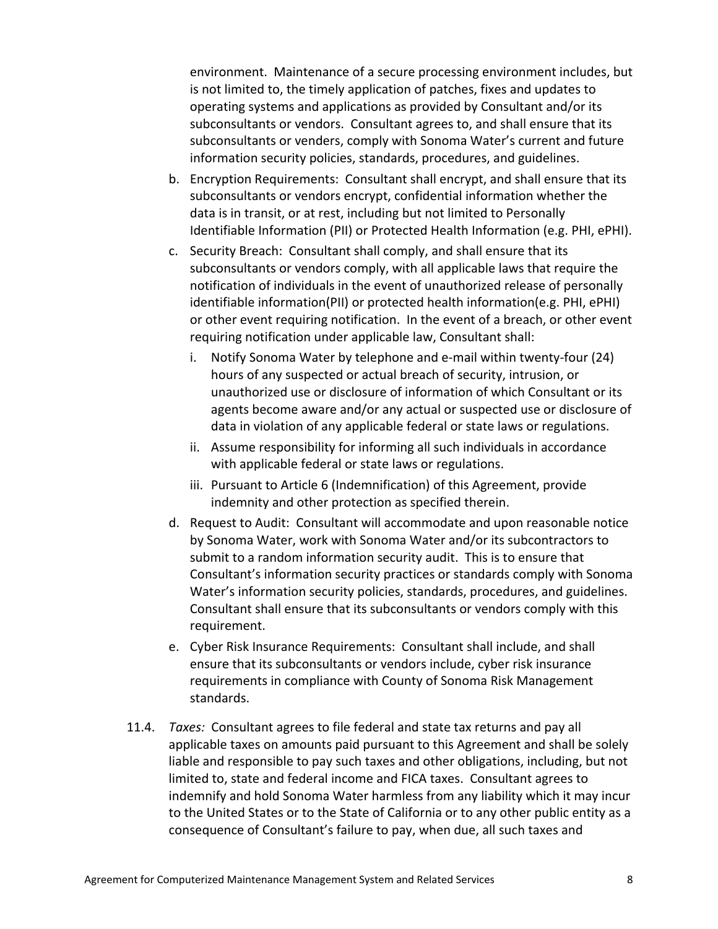environment. Maintenance of a secure processing environment includes, but is not limited to, the timely application of patches, fixes and updates to operating systems and applications as provided by Consultant and/or its subconsultants or vendors. Consultant agrees to, and shall ensure that its subconsultants or venders, comply with Sonoma Water's current and future information security policies, standards, procedures, and guidelines.

- b. Encryption Requirements: Consultant shall encrypt, and shall ensure that its subconsultants or vendors encrypt, confidential information whether the data is in transit, or at rest, including but not limited to Personally Identifiable Information (PII) or Protected Health Information (e.g. PHI, ePHI).
- c. Security Breach: Consultant shall comply, and shall ensure that its subconsultants or vendors comply, with all applicable laws that require the notification of individuals in the event of unauthorized release of personally identifiable information(PII) or protected health information(e.g. PHI, ePHI) or other event requiring notification. In the event of a breach, or other event requiring notification under applicable law, Consultant shall:
	- i. Notify Sonoma Water by telephone and e-mail within twenty-four (24) hours of any suspected or actual breach of security, intrusion, or unauthorized use or disclosure of information of which Consultant or its agents become aware and/or any actual or suspected use or disclosure of data in violation of any applicable federal or state laws or regulations.
	- ii. Assume responsibility for informing all such individuals in accordance with applicable federal or state laws or regulations.
	- iii. Pursuant to Article [6](#page-16-1) [\(Indemnification\)](#page-16-1) of this Agreement, provide indemnity and other protection as specified therein.
- d. Request to Audit: Consultant will accommodate and upon reasonable notice by Sonoma Water, work with Sonoma Water and/or its subcontractors to submit to a random information security audit. This is to ensure that Consultant's information security practices or standards comply with Sonoma Water's information security policies, standards, procedures, and guidelines. Consultant shall ensure that its subconsultants or vendors comply with this requirement.
- e. Cyber Risk Insurance Requirements: Consultant shall include, and shall ensure that its subconsultants or vendors include, cyber risk insurance requirements in compliance with County of Sonoma Risk Management standards.
- 11.4. *Taxes:* Consultant agrees to file federal and state tax returns and pay all applicable taxes on amounts paid pursuant to this Agreement and shall be solely liable and responsible to pay such taxes and other obligations, including, but not limited to, state and federal income and FICA taxes. Consultant agrees to indemnify and hold Sonoma Water harmless from any liability which it may incur to the United States or to the State of California or to any other public entity as a consequence of Consultant's failure to pay, when due, all such taxes and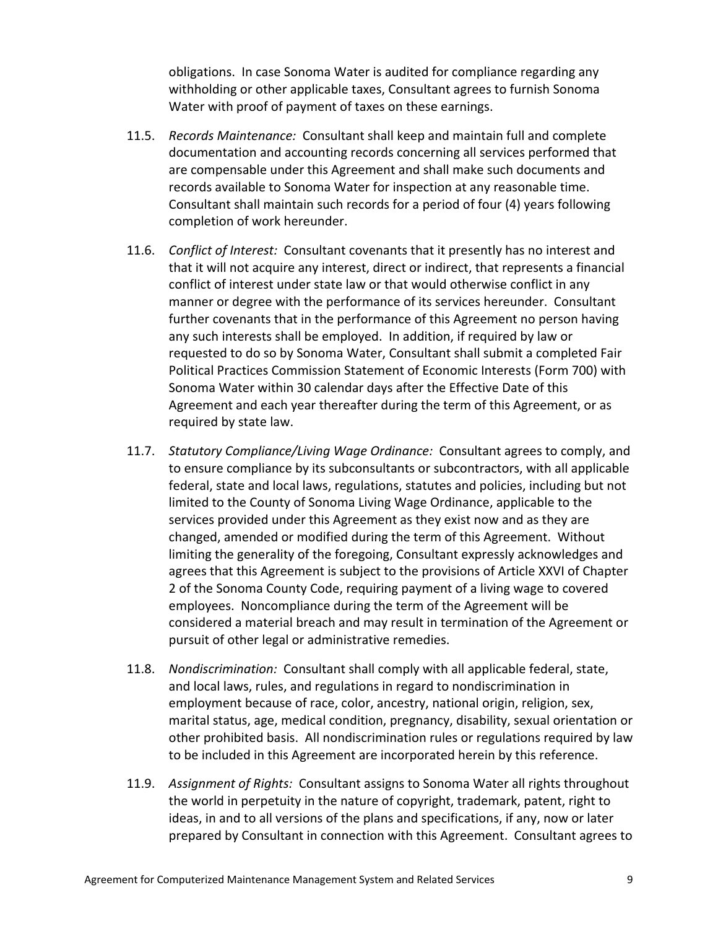obligations. In case Sonoma Water is audited for compliance regarding any withholding or other applicable taxes, Consultant agrees to furnish Sonoma Water with proof of payment of taxes on these earnings.

- 11.5. *Records Maintenance:* Consultant shall keep and maintain full and complete documentation and accounting records concerning all services performed that are compensable under this Agreement and shall make such documents and records available to Sonoma Water for inspection at any reasonable time. Consultant shall maintain such records for a period of four (4) years following completion of work hereunder.
- 11.6. *Conflict of Interest:* Consultant covenants that it presently has no interest and that it will not acquire any interest, direct or indirect, that represents a financial conflict of interest under state law or that would otherwise conflict in any manner or degree with the performance of its services hereunder. Consultant further covenants that in the performance of this Agreement no person having any such interests shall be employed. In addition, if required by law or requested to do so by Sonoma Water, Consultant shall submit a completed Fair Political Practices Commission Statement of Economic Interests (Form 700) with Sonoma Water within 30 calendar days after the Effective Date of this Agreement and each year thereafter during the term of this Agreement, or as required by state law.
- 11.7. *Statutory Compliance/Living Wage Ordinance:* Consultant agrees to comply, and to ensure compliance by its subconsultants or subcontractors, with all applicable federal, state and local laws, regulations, statutes and policies, including but not limited to the County of Sonoma Living Wage Ordinance, applicable to the services provided under this Agreement as they exist now and as they are changed, amended or modified during the term of this Agreement. Without limiting the generality of the foregoing, Consultant expressly acknowledges and agrees that this Agreement is subject to the provisions of Article XXVI of Chapter 2 of the Sonoma County Code, requiring payment of a living wage to covered employees. Noncompliance during the term of the Agreement will be considered a material breach and may result in termination of the Agreement or pursuit of other legal or administrative remedies.
- 11.8. *Nondiscrimination:* Consultant shall comply with all applicable federal, state, and local laws, rules, and regulations in regard to nondiscrimination in employment because of race, color, ancestry, national origin, religion, sex, marital status, age, medical condition, pregnancy, disability, sexual orientation or other prohibited basis. All nondiscrimination rules or regulations required by law to be included in this Agreement are incorporated herein by this reference.
- 11.9. *Assignment of Rights:* Consultant assigns to Sonoma Water all rights throughout the world in perpetuity in the nature of copyright, trademark, patent, right to ideas, in and to all versions of the plans and specifications, if any, now or later prepared by Consultant in connection with this Agreement. Consultant agrees to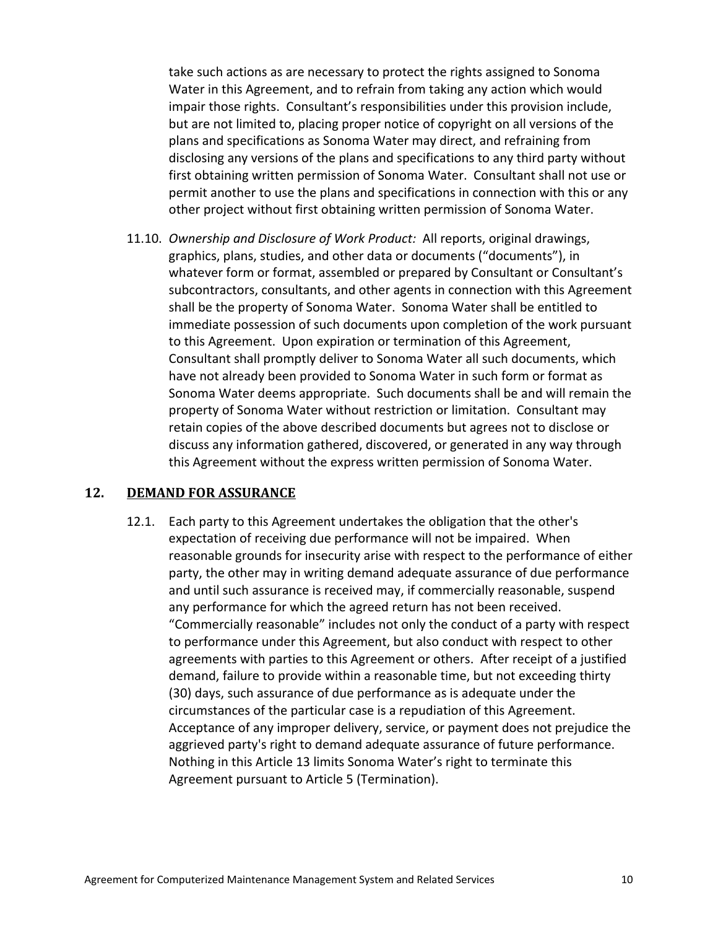take such actions as are necessary to protect the rights assigned to Sonoma Water in this Agreement, and to refrain from taking any action which would impair those rights. Consultant's responsibilities under this provision include, but are not limited to, placing proper notice of copyright on all versions of the plans and specifications as Sonoma Water may direct, and refraining from disclosing any versions of the plans and specifications to any third party without first obtaining written permission of Sonoma Water. Consultant shall not use or permit another to use the plans and specifications in connection with this or any other project without first obtaining written permission of Sonoma Water.

<span id="page-21-0"></span>11.10. *Ownership and Disclosure of Work Product:* All reports, original drawings, graphics, plans, studies, and other data or documents ("documents"), in whatever form or format, assembled or prepared by Consultant or Consultant's subcontractors, consultants, and other agents in connection with this Agreement shall be the property of Sonoma Water. Sonoma Water shall be entitled to immediate possession of such documents upon completion of the work pursuant to this Agreement. Upon expiration or termination of this Agreement, Consultant shall promptly deliver to Sonoma Water all such documents, which have not already been provided to Sonoma Water in such form or format as Sonoma Water deems appropriate. Such documents shall be and will remain the property of Sonoma Water without restriction or limitation. Consultant may retain copies of the above described documents but agrees not to disclose or discuss any information gathered, discovered, or generated in any way through this Agreement without the express written permission of Sonoma Water.

#### <span id="page-21-1"></span>**12. DEMAND FOR ASSURANCE**

12.1. Each party to this Agreement undertakes the obligation that the other's expectation of receiving due performance will not be impaired. When reasonable grounds for insecurity arise with respect to the performance of either party, the other may in writing demand adequate assurance of due performance and until such assurance is received may, if commercially reasonable, suspend any performance for which the agreed return has not been received. "Commercially reasonable" includes not only the conduct of a party with respect to performance under this Agreement, but also conduct with respect to other agreements with parties to this Agreement or others. After receipt of a justified demand, failure to provide within a reasonable time, but not exceeding thirty (30) days, such assurance of due performance as is adequate under the circumstances of the particular case is a repudiation of this Agreement. Acceptance of any improper delivery, service, or payment does not prejudice the aggrieved party's right to demand adequate assurance of future performance. Nothing in this Article [13](#page-21-1) limits Sonoma Water's right to terminate this Agreement pursuant to Article [5](#page-15-0) [\(Termination\)](#page-15-0).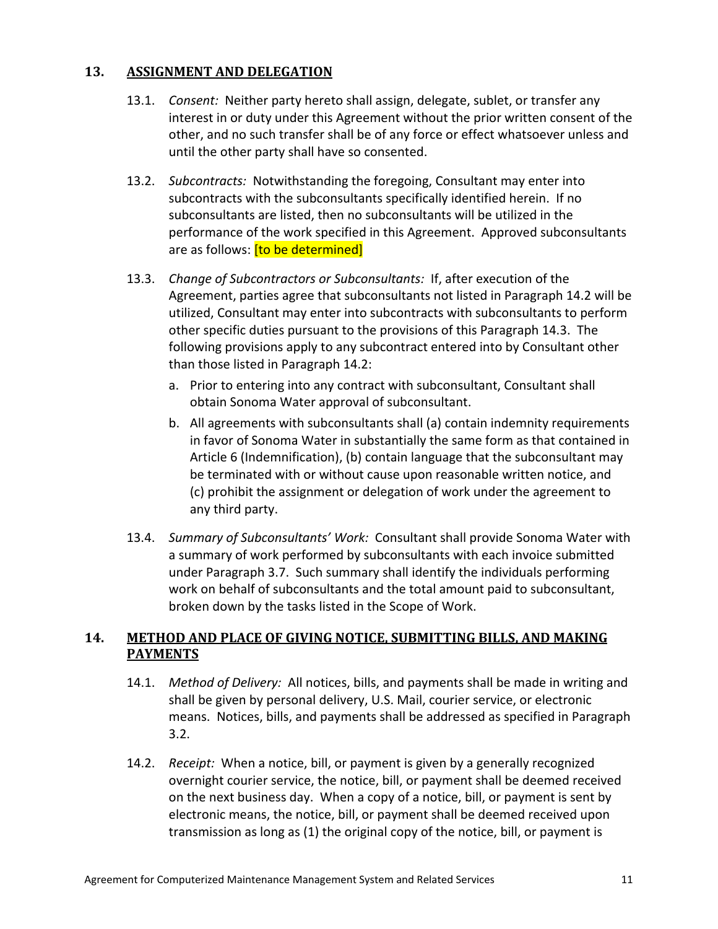# **13. ASSIGNMENT AND DELEGATION**

- 13.1. *Consent:* Neither party hereto shall assign, delegate, sublet, or transfer any interest in or duty under this Agreement without the prior written consent of the other, and no such transfer shall be of any force or effect whatsoever unless and until the other party shall have so consented.
- <span id="page-22-1"></span>13.2. *Subcontracts:* Notwithstanding the foregoing, Consultant may enter into subcontracts with the subconsultants specifically identified herein. If no subconsultants are listed, then no subconsultants will be utilized in the performance of the work specified in this Agreement. Approved subconsultants are as follows: **[to be determined]**
- <span id="page-22-2"></span>13.3. *Change of Subcontractors or Subconsultants:* If, after execution of the Agreement, parties agree that subconsultants not listed in Paragraph [14.2](#page-22-1) will be utilized, Consultant may enter into subcontracts with subconsultants to perform other specific duties pursuant to the provisions of this Paragraph [14.3.](#page-22-2) The following provisions apply to any subcontract entered into by Consultant other than those listed in Paragraph [14.2:](#page-22-1)
	- a. Prior to entering into any contract with subconsultant, Consultant shall obtain Sonoma Water approval of subconsultant.
	- b. All agreements with subconsultants shall (a) contain indemnity requirements in favor of Sonoma Water in substantially the same form as that contained in Article [6](#page-16-1) [\(Indemnification\)](#page-16-1), (b) contain language that the subconsultant may be terminated with or without cause upon reasonable written notice, and (c) prohibit the assignment or delegation of work under the agreement to any third party.
- 13.4. *Summary of Subconsultants' Work:* Consultant shall provide Sonoma Water with a summary of work performed by subconsultants with each invoice submitted under Paragraph [3.7.](#page-14-3) Such summary shall identify the individuals performing work on behalf of subconsultants and the total amount paid to subconsultant, broken down by the tasks listed in the Scope of Work.

# <span id="page-22-0"></span>**14. METHOD AND PLACE OF GIVING NOTICE, SUBMITTING BILLS, AND MAKING PAYMENTS**

- 14.1. *Method of Delivery:* All notices, bills, and payments shall be made in writing and shall be given by personal delivery, U.S. Mail, courier service, or electronic means. Notices, bills, and payments shall be addressed as specified in Paragraph [3.2.](#page-13-0)
- 14.2. *Receipt:* When a notice, bill, or payment is given by a generally recognized overnight courier service, the notice, bill, or payment shall be deemed received on the next business day. When a copy of a notice, bill, or payment is sent by electronic means, the notice, bill, or payment shall be deemed received upon transmission as long as (1) the original copy of the notice, bill, or payment is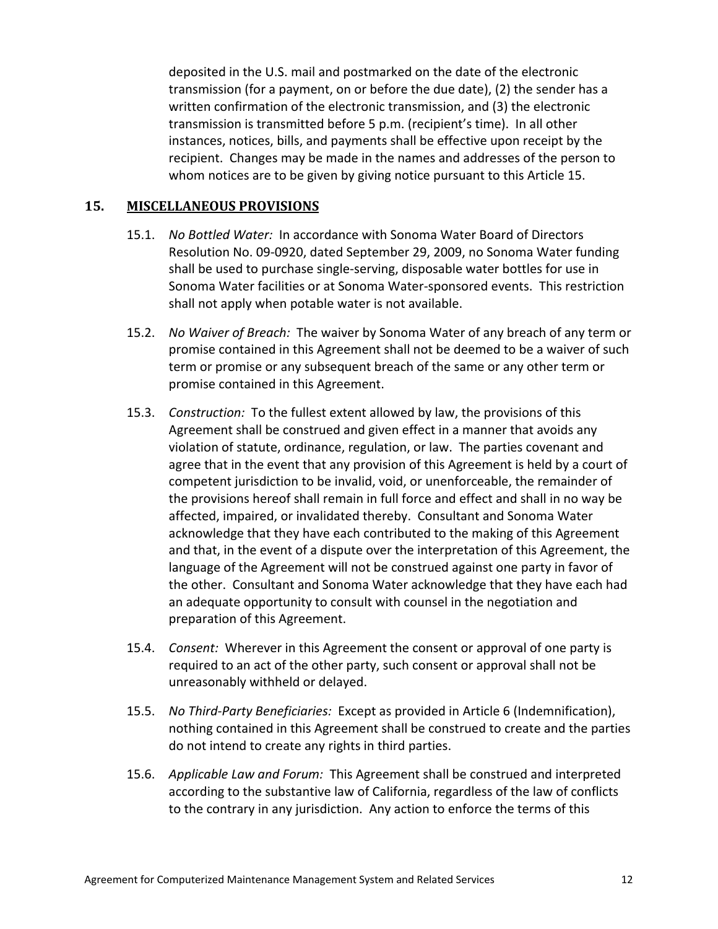deposited in the U.S. mail and postmarked on the date of the electronic transmission (for a payment, on or before the due date), (2) the sender has a written confirmation of the electronic transmission, and (3) the electronic transmission is transmitted before 5 p.m. (recipient's time). In all other instances, notices, bills, and payments shall be effective upon receipt by the recipient. Changes may be made in the names and addresses of the person to whom notices are to be given by giving notice pursuant to this Article [15.](#page-22-0)

## **15. MISCELLANEOUS PROVISIONS**

- 15.1. *No Bottled Water:* In accordance with Sonoma Water Board of Directors Resolution No. 09-0920, dated September 29, 2009, no Sonoma Water funding shall be used to purchase single-serving, disposable water bottles for use in Sonoma Water facilities or at Sonoma Water-sponsored events. This restriction shall not apply when potable water is not available.
- 15.2. *No Waiver of Breach:* The waiver by Sonoma Water of any breach of any term or promise contained in this Agreement shall not be deemed to be a waiver of such term or promise or any subsequent breach of the same or any other term or promise contained in this Agreement.
- 15.3. *Construction:* To the fullest extent allowed by law, the provisions of this Agreement shall be construed and given effect in a manner that avoids any violation of statute, ordinance, regulation, or law. The parties covenant and agree that in the event that any provision of this Agreement is held by a court of competent jurisdiction to be invalid, void, or unenforceable, the remainder of the provisions hereof shall remain in full force and effect and shall in no way be affected, impaired, or invalidated thereby. Consultant and Sonoma Water acknowledge that they have each contributed to the making of this Agreement and that, in the event of a dispute over the interpretation of this Agreement, the language of the Agreement will not be construed against one party in favor of the other. Consultant and Sonoma Water acknowledge that they have each had an adequate opportunity to consult with counsel in the negotiation and preparation of this Agreement.
- 15.4. *Consent:* Wherever in this Agreement the consent or approval of one party is required to an act of the other party, such consent or approval shall not be unreasonably withheld or delayed.
- 15.5. *No Third-Party Beneficiaries:* Except as provided in Article [6](#page-16-1) [\(Indemnification\)](#page-16-1), nothing contained in this Agreement shall be construed to create and the parties do not intend to create any rights in third parties.
- 15.6. *Applicable Law and Forum:* This Agreement shall be construed and interpreted according to the substantive law of California, regardless of the law of conflicts to the contrary in any jurisdiction. Any action to enforce the terms of this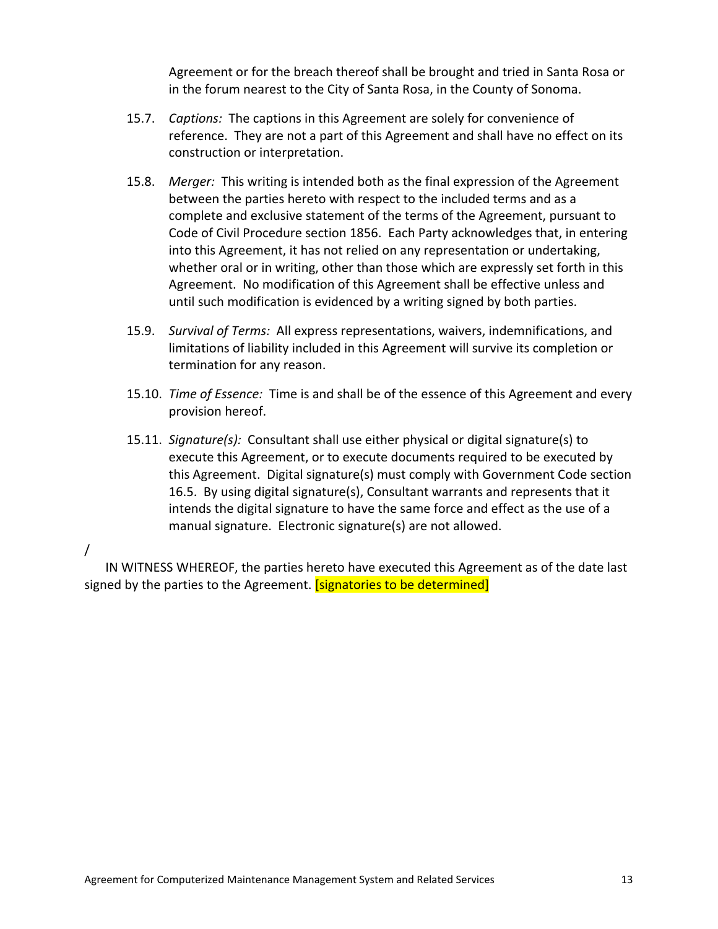Agreement or for the breach thereof shall be brought and tried in Santa Rosa or in the forum nearest to the City of Santa Rosa, in the County of Sonoma.

- 15.7. *Captions:* The captions in this Agreement are solely for convenience of reference. They are not a part of this Agreement and shall have no effect on its construction or interpretation.
- 15.8. *Merger:* This writing is intended both as the final expression of the Agreement between the parties hereto with respect to the included terms and as a complete and exclusive statement of the terms of the Agreement, pursuant to Code of Civil Procedure section 1856. Each Party acknowledges that, in entering into this Agreement, it has not relied on any representation or undertaking, whether oral or in writing, other than those which are expressly set forth in this Agreement. No modification of this Agreement shall be effective unless and until such modification is evidenced by a writing signed by both parties.
- 15.9. *Survival of Terms:* All express representations, waivers, indemnifications, and limitations of liability included in this Agreement will survive its completion or termination for any reason.
- 15.10. *Time of Essence:* Time is and shall be of the essence of this Agreement and every provision hereof.
- 15.11. *Signature(s):* Consultant shall use either physical or digital signature(s) to execute this Agreement, or to execute documents required to be executed by this Agreement. Digital signature(s) must comply with Government Code section 16.5. By using digital signature(s), Consultant warrants and represents that it intends the digital signature to have the same force and effect as the use of a manual signature. Electronic signature(s) are not allowed.

# /

IN WITNESS WHEREOF, the parties hereto have executed this Agreement as of the date last signed by the parties to the Agreement. **[signatories to be determined]**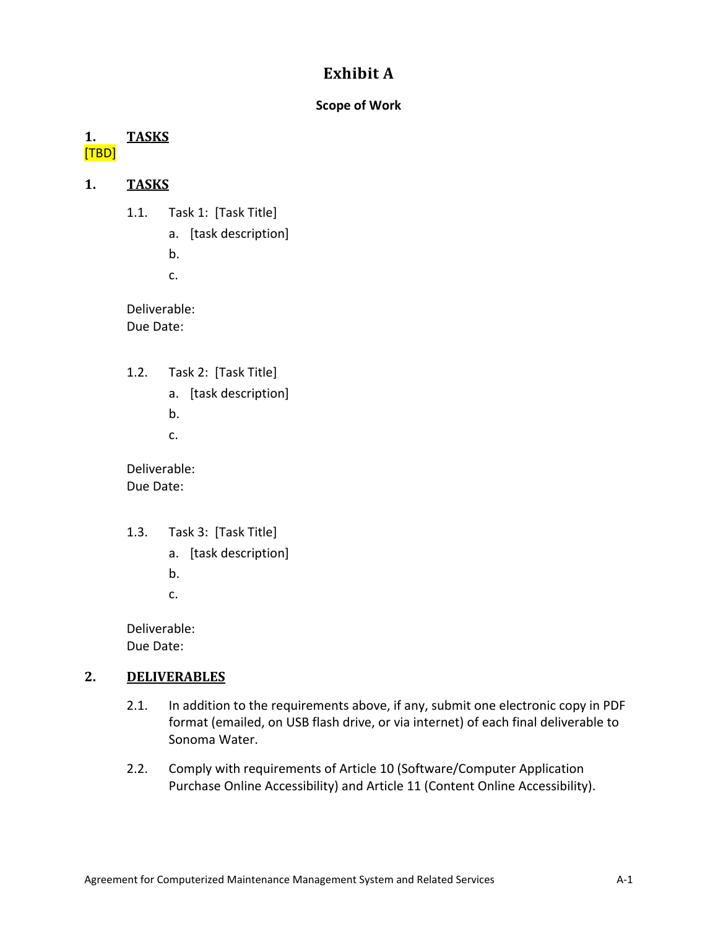# **Exhibit A**

# **Scope of Work**

# **1. TASKS** [TBD]

# **1. TASKS**

- 1.1. Task 1: [Task Title]
	- a. [task description]
	- b.
	- c.

Deliverable: Due Date:

- 1.2. Task 2: [Task Title]
	- a. [task description]
	- b.
	- c.

Deliverable: Due Date:

- 1.3. Task 3: [Task Title]
	- a. [task description]
	- b.
	- c.

Deliverable: Due Date:

# **2. DELIVERABLES**

- 2.1. In addition to the requirements above, if any, submit one electronic copy in PDF format (emailed, on USB flash drive, or via internet) of each final deliverable to Sonoma Water.
- 2.2. Comply with requirements of Article 10 (Software/Computer Application Purchase Online Accessibility) and Article [11](#page-17-0) [\(Content Online Accessibility\)](#page-17-0).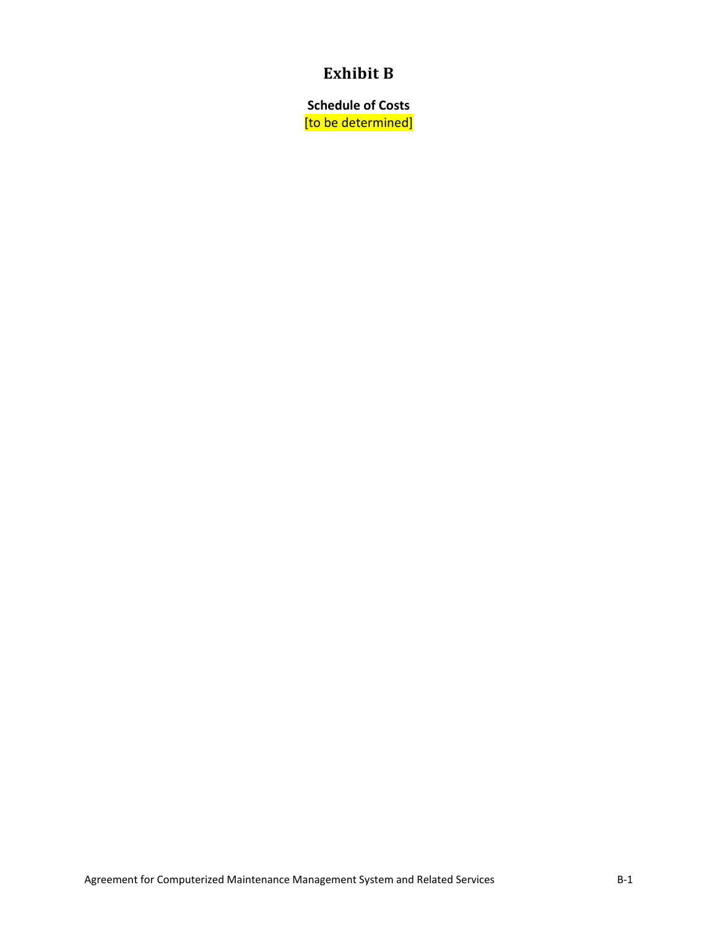# **Exhibit B**

**Schedule of Costs** [to be determined]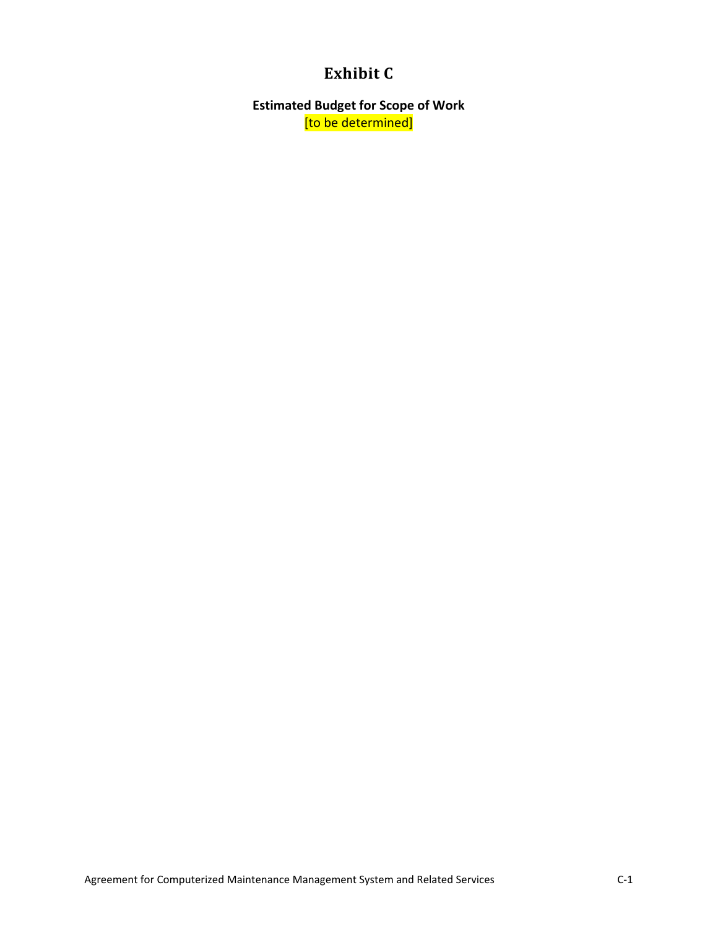# **Exhibit C**

**Estimated Budget for Scope of Work** [to be determined]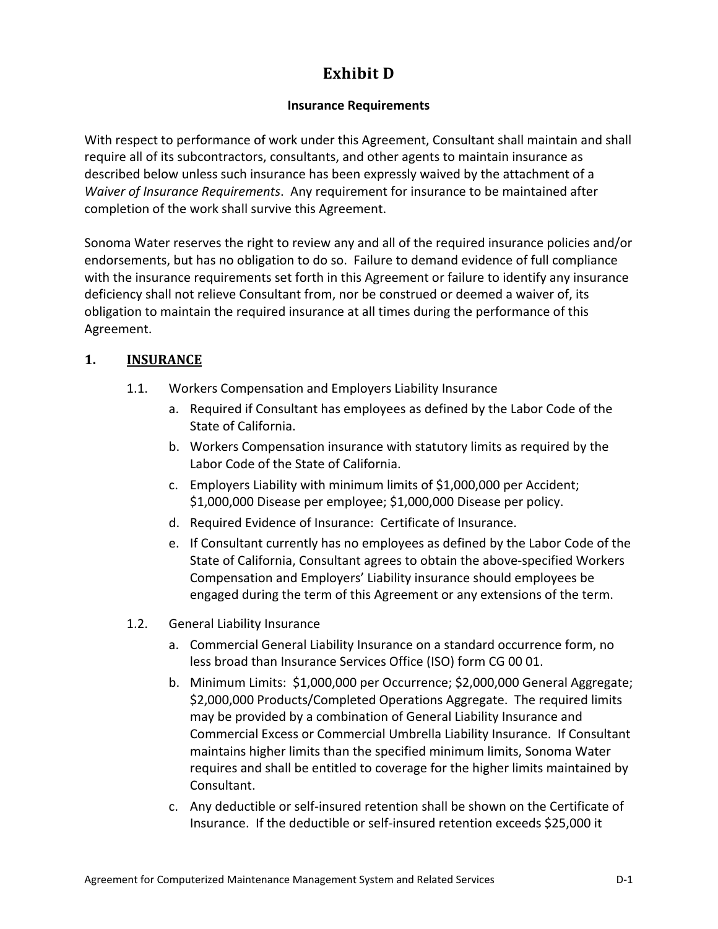# **Exhibit D**

# **Insurance Requirements**

With respect to performance of work under this Agreement, Consultant shall maintain and shall require all of its subcontractors, consultants, and other agents to maintain insurance as described below unless such insurance has been expressly waived by the attachment of a *Waiver of Insurance Requirements*. Any requirement for insurance to be maintained after completion of the work shall survive this Agreement.

Sonoma Water reserves the right to review any and all of the required insurance policies and/or endorsements, but has no obligation to do so. Failure to demand evidence of full compliance with the insurance requirements set forth in this Agreement or failure to identify any insurance deficiency shall not relieve Consultant from, nor be construed or deemed a waiver of, its obligation to maintain the required insurance at all times during the performance of this Agreement.

# <span id="page-28-0"></span>**1. INSURANCE**

- 1.1. Workers Compensation and Employers Liability Insurance
	- a. Required if Consultant has employees as defined by the Labor Code of the State of California.
	- b. Workers Compensation insurance with statutory limits as required by the Labor Code of the State of California.
	- c. Employers Liability with minimum limits of \$1,000,000 per Accident; \$1,000,000 Disease per employee; \$1,000,000 Disease per policy.
	- d. Required Evidence of Insurance: Certificate of Insurance.
	- e. If Consultant currently has no employees as defined by the Labor Code of the State of California, Consultant agrees to obtain the above-specified Workers Compensation and Employers' Liability insurance should employees be engaged during the term of this Agreement or any extensions of the term.
- <span id="page-28-1"></span>1.2. General Liability Insurance
	- a. Commercial General Liability Insurance on a standard occurrence form, no less broad than Insurance Services Office (ISO) form CG 00 01.
	- b. Minimum Limits: \$1,000,000 per Occurrence; \$2,000,000 General Aggregate; \$2,000,000 Products/Completed Operations Aggregate. The required limits may be provided by a combination of General Liability Insurance and Commercial Excess or Commercial Umbrella Liability Insurance. If Consultant maintains higher limits than the specified minimum limits, Sonoma Water requires and shall be entitled to coverage for the higher limits maintained by Consultant.
	- c. Any deductible or self-insured retention shall be shown on the Certificate of Insurance. If the deductible or self-insured retention exceeds \$25,000 it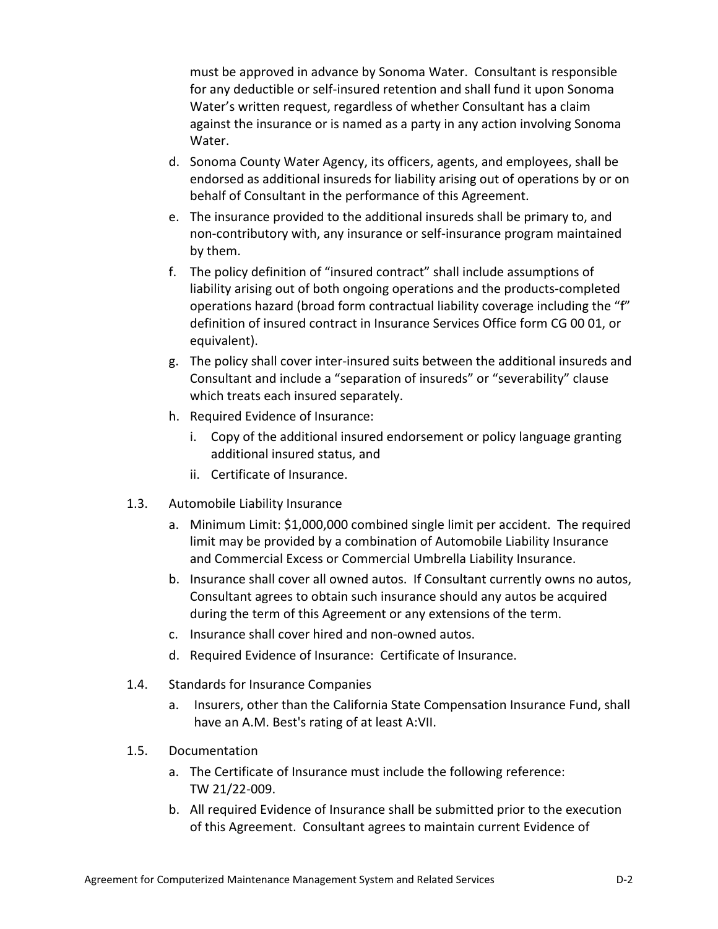must be approved in advance by Sonoma Water. Consultant is responsible for any deductible or self-insured retention and shall fund it upon Sonoma Water's written request, regardless of whether Consultant has a claim against the insurance or is named as a party in any action involving Sonoma Water.

- d. Sonoma County Water Agency, its officers, agents, and employees, shall be endorsed as additional insureds for liability arising out of operations by or on behalf of Consultant in the performance of this Agreement.
- e. The insurance provided to the additional insureds shall be primary to, and non-contributory with, any insurance or self-insurance program maintained by them.
- f. The policy definition of "insured contract" shall include assumptions of liability arising out of both ongoing operations and the products-completed operations hazard (broad form contractual liability coverage including the "f" definition of insured contract in Insurance Services Office form CG 00 01, or equivalent).
- g. The policy shall cover inter-insured suits between the additional insureds and Consultant and include a "separation of insureds" or "severability" clause which treats each insured separately.
- h. Required Evidence of Insurance:
	- i. Copy of the additional insured endorsement or policy language granting additional insured status, and
	- ii. Certificate of Insurance.
- <span id="page-29-0"></span>1.3. Automobile Liability Insurance
	- a. Minimum Limit: \$1,000,000 combined single limit per accident. The required limit may be provided by a combination of Automobile Liability Insurance and Commercial Excess or Commercial Umbrella Liability Insurance.
	- b. Insurance shall cover all owned autos. If Consultant currently owns no autos, Consultant agrees to obtain such insurance should any autos be acquired during the term of this Agreement or any extensions of the term.
	- c. Insurance shall cover hired and non-owned autos.
	- d. Required Evidence of Insurance: Certificate of Insurance.
- 1.4. Standards for Insurance Companies
	- a. Insurers, other than the California State Compensation Insurance Fund, shall have an A.M. Best's rating of at least A:VII.
- 1.5. Documentation
	- a. The Certificate of Insurance must include the following reference: TW 21/22-009.
	- b. All required Evidence of Insurance shall be submitted prior to the execution of this Agreement. Consultant agrees to maintain current Evidence of